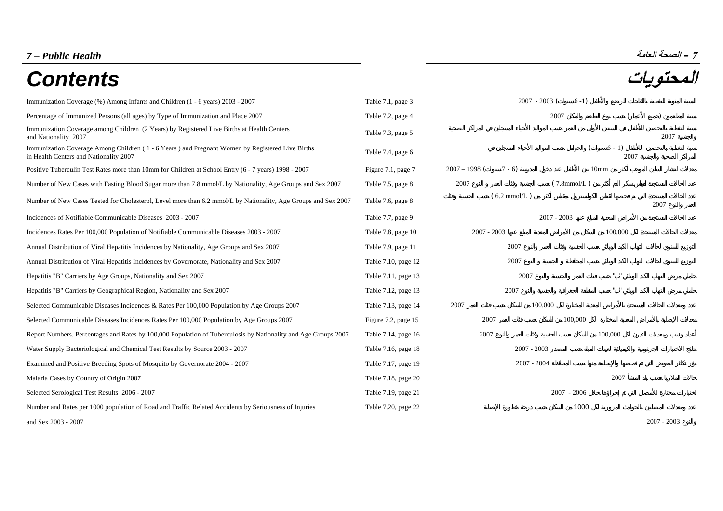# **– الصحة العامة** *Health Public – 7*

# **المحتويات** *Contents*

| Immunization Coverage (%) Among Infants and Children (1 - 6 years) 2003 - 2007                                                            | Table 7.1, page 3   | $2007 - 2003$ (            | $6-1)$           |                    |               |
|-------------------------------------------------------------------------------------------------------------------------------------------|---------------------|----------------------------|------------------|--------------------|---------------|
| Percentage of Immunized Persons (all ages) by Type of Immunization and Place 2007                                                         | Table 7.2, page 4   |                            | 2007             |                    |               |
| Immunization Coverage among Children (2 Years) by Registered Live Births at Health Centers<br>and Nationality 2007                        | Table 7.3, page 5   |                            |                  |                    | 2007          |
| Immunization Coverage Among Children (1 - 6 Years) and Pregnant Women by Registered Live Births<br>in Health Centers and Nationality 2007 | Table 7.4, page 6   |                            |                  | $6 - 1$<br>2007    |               |
| Positive Tuberculin Test Rates more than 10mm for Children at School Entry (6 - 7 years) 1998 - 2007                                      | Figure 7.1, page 7  | $2007 - 1998$ (<br>$7 - 6$ | 10 <sub>mm</sub> |                    |               |
| Number of New Cases with Fasting Blood Sugar more than 7.8 mmol/L by Nationality, Age Groups and Sex 2007                                 | Table 7.5, page 8   | 2007                       | $(7.8$ mmol/L)   |                    |               |
| Number of New Cases Tested for Cholesterol, Level more than 6.2 mmol/L by Nationality, Age Groups and Sex 2007                            | Table 7.6, page 8   | $(6.2 \text{ mmol/L})$     |                  |                    | 2007          |
| Incidences of Notifiable Communicable Diseases 2003 - 2007                                                                                | Table 7.7, page 9   |                            | $2007 - 2003$    |                    |               |
| Incidences Rates Per 100,000 Population of Notifiable Communicable Diseases 2003 - 2007                                                   | Table 7.8, page 10  | $2007 - 2003$              |                  | 100,000            |               |
| Annual Distribution of Viral Hepatitis Incidences by Nationality, Age Groups and Sex 2007                                                 | Table 7.9, page 11  | 2007                       |                  |                    |               |
| Annual Distribution of Viral Hepatitis Incidences by Governorate, Nationality and Sex 2007                                                | Table 7.10, page 12 | 2007                       |                  |                    |               |
| Hepatitis "B" Carriers by Age Groups, Nationality and Sex 2007                                                                            | Table 7.11, page 13 | 2007                       |                  | $\alpha = -\alpha$ |               |
| Hepatitis "B" Carriers by Geographical Region, Nationality and Sex 2007                                                                   | Table 7.12, page 13 | 2007                       |                  | $\alpha = -\alpha$ |               |
| Selected Communicable Diseases Incidences & Rates Per 100,000 Population by Age Groups 2007                                               | Table 7.13, page 14 | 2007                       | 100,000          |                    |               |
| Selected Communicable Diseases Incidences Rates Per 100,000 Population by Age Groups 2007                                                 | Figure 7.2, page 15 | 2007                       | 100,000          |                    |               |
| Report Numbers, Percentages and Rates by 100,000 Population of Tuberculosis by Nationality and Age Groups 2007                            | Table 7.14, page 16 | 2007                       |                  | 100,000            |               |
| Water Supply Bacteriological and Chemical Test Results by Source 2003 - 2007                                                              | Table 7.16, page 18 | $2007 - 2003$              |                  |                    |               |
| Examined and Positive Breeding Spots of Mosquito by Governorate 2004 - 2007                                                               | Table 7.17, page 19 | $2007 - 2004$              |                  |                    |               |
| Malaria Cases by Country of Origin 2007                                                                                                   | Table 7.18, page 20 |                            |                  | 2007               |               |
| Selected Serological Test Results 2006 - 2007                                                                                             | Table 7.19, page 21 |                            | $2007 - 2006$    |                    |               |
| Number and Rates per 1000 population of Road and Traffic Related Accidents by Seriousness of Injuries                                     | Table 7.20, page 22 |                            | 1000             |                    |               |
| and Sex 2003 - 2007                                                                                                                       |                     |                            |                  |                    | $2007 - 2003$ |

- 2003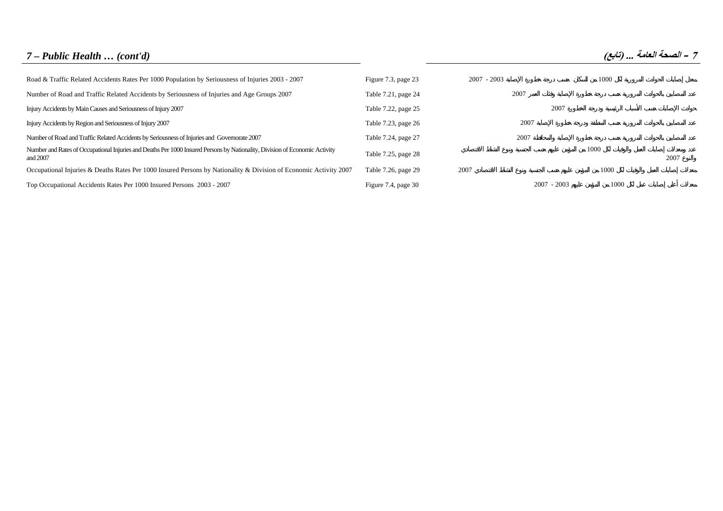# *7 – Public Health … (cont'd)* **(تابع (... العامة الصحة – <sup>7</sup>**

| Road & Traffic Related Accidents Rates Per 1000 Population by Seriousness of Injuries 2003 - 2007                                       | Figure 7.3, page 23 | $2007 - 2003$ | 1000                  |      |
|-----------------------------------------------------------------------------------------------------------------------------------------|---------------------|---------------|-----------------------|------|
| Number of Road and Traffic Related Accidents by Seriousness of Injuries and Age Groups 2007                                             | Table 7.21, page 24 | 2007          |                       |      |
| Injury Accidents by Main Causes and Seriousness of Injury 2007                                                                          | Table 7.22, page 25 |               | 2007                  |      |
| Injury Accidents by Region and Seriousness of Injury 2007                                                                               | Table 7.23, page 26 | 2007          |                       |      |
| Number of Road and Traffic Related Accidents by Seriousness of Injuries and Governorate 2007                                            | Table 7.24, page 27 | 2007          |                       |      |
| Number and Rates of Occupational Injuries and Deaths Per 1000 Insured Persons by Nationality, Division of Economic Activity<br>and 2007 | Table 7.25, page 28 |               | 1000                  | 2007 |
| Occupational Injuries & Deaths Rates Per 1000 Insured Persons by Nationality & Division of Economic Activity 2007                       | Table 7.26, page 29 | 2007          | 1000                  |      |
| Top Occupational Accidents Rates Per 1000 Insured Persons 2003 - 2007                                                                   | Figure 7.4, page 30 |               | 1000<br>$2007 - 2003$ |      |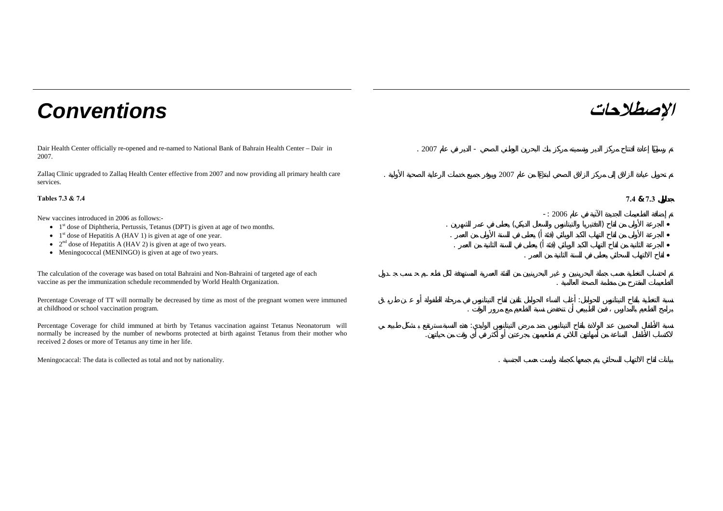# **الإصطلاحات** *Conventions*

Dair Health Center officially re-opened and re-named to National Bank of Bahrain Health Center – Dair in 2007.

Zallaq Clinic upgraded to Zallaq Health Center effective from 2007 and now providing all primary health care services.

#### **Tables 7.3 & 7.4 7.4**

New vaccines introduced in 2006 as follows:-

- $\bullet$  1<sup>st</sup> dose of Diphtheria, Pertussis, Tetanus (DPT) is given at age of two months.
- $1<sup>st</sup>$  dose of Hepatitis A (HAV 1) is given at age of one year.
- $2<sup>nd</sup>$  dose of Hepatitis A (HAV 2) is given at age of two years.
- Meningococcal (MENINGO) is given at age of two years.

The calculation of the coverage was based on total Bahraini and Non-Bahraini of targeted age of each vaccine as per the immunization schedule recommended by World Health Organization. .

Percentage Coverage of TT will normally be decreased by time as most of the pregnant women were immuned at childhood or school vaccination program.

Percentage Coverage for child immuned at birth by Tetanus vaccination against Tetanus Neonatorum will normally be increased by the number of newborns protected at birth against Tetanus from their mother who received 2 doses or more of Tetanus any time in her life.

Meningocaccal: The data is collected as total and not by nationality. .

. 2007 -

2007

**& 7.3**

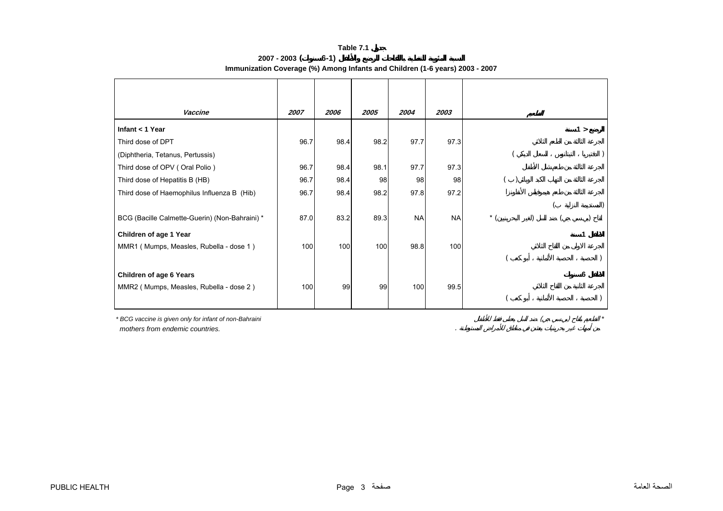|                 | Table 7.1                                                                    |
|-----------------|------------------------------------------------------------------------------|
| $2007 - 2003$ ( | $6-1)$                                                                       |
|                 | Immunization Coverage (%) Among Infants and Children (1-6 years) 2003 - 2007 |

<span id="page-3-0"></span>

| Vaccine                                        | 2007 | 2006 | 2005 | 2004      | 2003      |       |     |  |
|------------------------------------------------|------|------|------|-----------|-----------|-------|-----|--|
| Infant $<$ 1 Year                              |      |      |      |           |           |       | 1 > |  |
| Third dose of DPT                              | 96.7 | 98.4 | 98.2 | 97.7      | 97.3      |       |     |  |
| (Diphtheria, Tetanus, Pertussis)               |      |      |      |           |           |       |     |  |
| Third dose of OPV (Oral Polio)                 | 96.7 | 98.4 | 98.1 | 97.7      | 97.3      |       |     |  |
| Third dose of Hepatitis B (HB)                 | 96.7 | 98.4 | 98   | 98        | 98        |       |     |  |
| Third dose of Haemophilus Influenza B (Hib)    | 96.7 | 98.4 | 98.2 | 97.8      | 97.2      |       |     |  |
|                                                |      |      |      |           |           |       |     |  |
| BCG (Bacille Calmette-Guerin) (Non-Bahraini) * | 87.0 | 83.2 | 89.3 | <b>NA</b> | <b>NA</b> | $*$ ( |     |  |
| Children of age 1 Year                         |      |      |      |           |           |       |     |  |
| MMR1 (Mumps, Measles, Rubella - dose 1)        | 100  | 100  | 100  | 98.8      | 100       |       |     |  |
|                                                |      |      |      |           |           |       |     |  |
| <b>Children of age 6 Years</b>                 |      |      |      |           |           |       |     |  |
| MMR2 (Mumps, Measles, Rubella - dose 2)        | 100  | 99   | 99   | 100       | 99.5      |       |     |  |
|                                                |      |      |      |           |           |       |     |  |
|                                                |      |      |      |           |           |       |     |  |

*\* BCG vaccine is given only for infant of non-Bahraini* ( ) *\* mothers from endemic countries.* .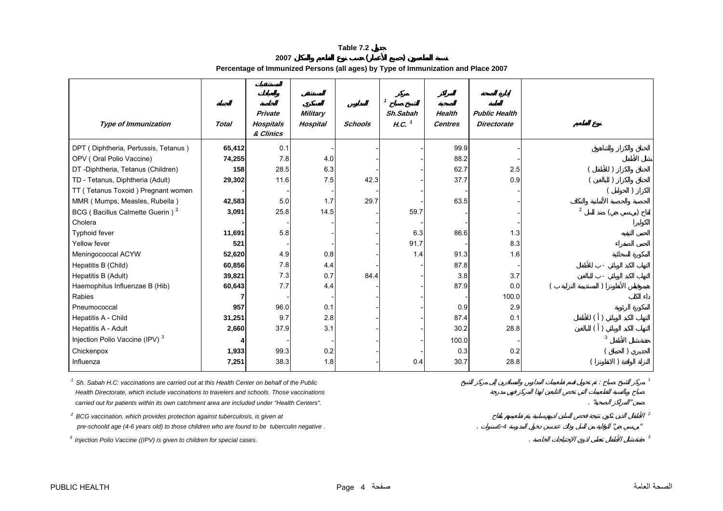**<sup>2007</sup> ( ) Percentage of Immunized Persons (all ages) by Type of Immunization and Place 2007**

<span id="page-4-0"></span>

|                                             |              |                                          |                                    |                | $\mathbf{1}$                  |                                 |                                            |                |  |
|---------------------------------------------|--------------|------------------------------------------|------------------------------------|----------------|-------------------------------|---------------------------------|--------------------------------------------|----------------|--|
| <b>Type of Immunization</b>                 | <b>Total</b> | Private<br><b>Hospitals</b><br>& Clinics | <b>Military</b><br><b>Hospital</b> | <b>Schools</b> | Sh.Sabah<br>H.C. <sup>1</sup> | <b>Health</b><br><b>Centres</b> | <b>Public Health</b><br><b>Directorate</b> |                |  |
| DPT (Diphtheria, Pertussis, Tetanus)        | 65,412       | 0.1                                      |                                    |                |                               | 99.9                            |                                            |                |  |
| OPV (Oral Polio Vaccine)                    | 74,255       | 7.8                                      | 4.0                                |                |                               | 88.2                            |                                            |                |  |
| DT -Diphtheria, Tetanus (Children)          | 158          | 28.5                                     | 6.3                                |                |                               | 62.7                            | 2.5                                        |                |  |
| TD - Tetanus, Diphtheria (Adult)            | 29,302       | 11.6                                     | 7.5                                | 42.3           |                               | 37.7                            | 0.9                                        |                |  |
| TT (Tetanus Toxoid) Pregnant women          |              |                                          |                                    |                |                               |                                 |                                            |                |  |
| MMR (Mumps, Measles, Rubella)               | 42,583       | 5.0                                      | 1.7                                | 29.7           |                               | 63.5                            |                                            |                |  |
| BCG (Bacillus Calmette Guerin) <sup>2</sup> | 3,091        | 25.8                                     | 14.5                               |                | 59.7                          |                                 |                                            | $\overline{2}$ |  |
| Cholera                                     |              |                                          |                                    |                |                               |                                 |                                            |                |  |
| Typhoid fever                               | 11,691       | 5.8                                      |                                    |                | 6.3                           | 86.6                            | 1.3                                        |                |  |
| Yellow fever                                | 521          |                                          |                                    |                | 91.7                          |                                 | 8.3                                        |                |  |
| Meningococcal ACYW                          | 52,620       | 4.9                                      | 0.8                                |                | 1.4                           | 91.3                            | 1.6                                        |                |  |
| Hepatitis B (Child)                         | 60,856       | 7.8                                      | 4.4                                |                |                               | 87.8                            |                                            |                |  |
| Hepatitis B (Adult)                         | 39,821       | 7.3                                      | 0.7                                | 84.4           |                               | 3.8                             | 3.7                                        |                |  |
| Haemophilus Influenzae B (Hib)              | 60,643       | 7.7                                      | 4.4                                |                |                               | 87.9                            | 0.0                                        |                |  |
| Rabies                                      |              |                                          |                                    |                |                               |                                 | 100.0                                      |                |  |
| Pneumococcal                                | 957          | 96.0                                     | 0.1                                |                |                               | 0.9                             | 2.9                                        |                |  |
| Hepatitis A - Child                         | 31,251       | 9.7                                      | 2.8                                |                |                               | 87.4                            | 0.1                                        |                |  |
| Hepatitis A - Adult                         | 2,660        | 37.9                                     | 3.1                                |                |                               | 30.2                            | 28.8                                       |                |  |
| Injection Polio Vaccine (IPV) <sup>3</sup>  |              |                                          |                                    |                |                               | 100.0                           |                                            |                |  |
| Chickenpox                                  | 1,933        | 99.3                                     | 0.2                                |                |                               | 0.3                             | 0.2                                        |                |  |
| Influenza                                   | 7,251        | 38.3                                     | 1.8                                |                | 0.4                           | 30.7                            | 28.8                                       |                |  |

<sup>1</sup> Sh. Sabah H.C: vaccinations are carried out at this Health Center on behalf of the Public  $\frac{1}{2}$  :  $\frac{1}{2}$  ,  $\frac{1}{2}$  ,  $\frac{1}{2}$  ,  $\frac{1}{2}$  ,  $\frac{1}{2}$  ,  $\frac{1}{2}$  ,  $\frac{1}{2}$  ,  $\frac{1}{2}$  ,  $\frac{1}{2}$  ,  $\frac{1}{2$  *Health Directorate, which include vaccinations to travelers and schools. Those vaccinations carried out for patients within its own catchment area are included under "Health Centers".* 

 $2^2$  BCG vaccination, which provides protection against tuberculosis, is given at  $2^2$  *pre-schoold age (4-6 years old) to those children who are found to be tuberculin negative .* . *6-4* " "

*3 Injection Polio Vaccine ((IPV) is given to children for special cases.* . *<sup>3</sup>*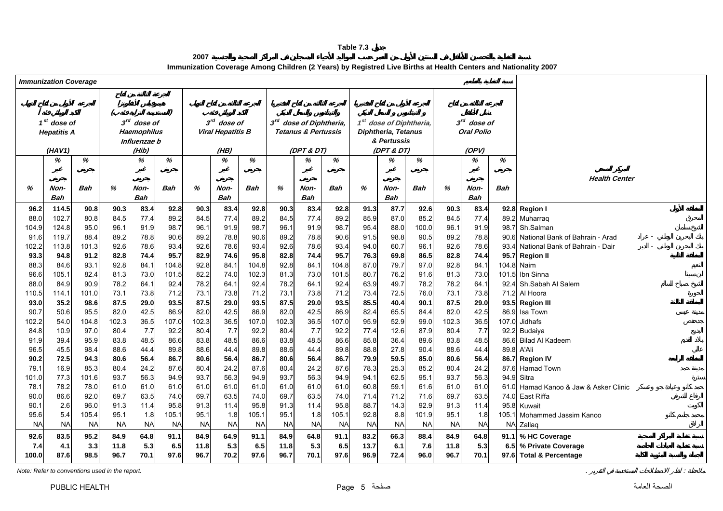**2007Immunization Coverage Among Children (2 Years) by Registred Live Births at Health Centers and Nationality 2007**

<span id="page-5-0"></span>

|                   | <b>Immunization Coverage</b> |               |              |                         |               |                   |                          |                    |              |                                     |                |              |                                     |                    |              |                   |              |                                  |
|-------------------|------------------------------|---------------|--------------|-------------------------|---------------|-------------------|--------------------------|--------------------|--------------|-------------------------------------|----------------|--------------|-------------------------------------|--------------------|--------------|-------------------|--------------|----------------------------------|
|                   |                              |               |              |                         |               |                   |                          |                    |              |                                     |                |              |                                     |                    |              |                   |              |                                  |
|                   |                              |               |              |                         |               |                   |                          |                    |              |                                     |                |              |                                     |                    |              |                   |              |                                  |
|                   | $1st$ dose of                |               |              | 3 <sup>rd</sup> dose of |               |                   | $3rd$ dose of            |                    |              | 3 <sup>rd</sup> dose of Diphtheria, |                |              | 1 <sup>st</sup> dose of Diphtheria, |                    |              | $3rd$ dose of     |              |                                  |
|                   | <b>Hepatitis A</b>           |               |              | <b>Haemophilus</b>      |               |                   | <b>Viral Hepatitis B</b> |                    |              | <b>Tetanus &amp; Pertussis</b>      |                |              | <b>Diphtheria, Tetanus</b>          |                    |              | <b>Oral Polio</b> |              |                                  |
|                   |                              |               |              | Influenzae b            |               |                   |                          |                    |              |                                     |                |              | & Pertussis                         |                    |              |                   |              |                                  |
|                   | (HAV1)                       |               |              | (Hib)                   |               |                   | (HB)                     |                    |              | (DPT & DT)                          |                |              | (DPT & DT)                          |                    |              | (OPV)             |              |                                  |
|                   | %                            | %             |              | %                       | %             |                   | %                        | %                  |              | %                                   | %              |              | %                                   | %                  |              | %                 | %            |                                  |
|                   |                              |               |              |                         |               |                   |                          |                    |              |                                     |                |              |                                     |                    |              |                   |              |                                  |
|                   |                              |               |              |                         |               |                   |                          |                    |              |                                     |                |              |                                     |                    |              |                   |              | <b>Health Center</b>             |
| %                 | Non-                         | Bah           | %            | Non-                    | Bah           | %                 | Non-                     | Bah                | %            | Non-                                | Bah            | %            | Non-                                | Bah                | %            | Non-              | <b>Bah</b>   |                                  |
|                   | <b>Bah</b>                   |               |              | <b>Bah</b>              |               |                   | <b>Bah</b>               |                    |              | <b>Bah</b>                          |                |              | <b>Bah</b>                          |                    |              | <b>Bah</b>        |              |                                  |
| 96.2              | 114.5                        | 90.8          | 90.3         | 83.4                    | 92.8          | 90.3              | 83.4                     | 92.8               | 90.3         | 83.4                                | 92.8           | 91.3         | 87.7                                | 92.6               | 90.3         | 83.4              |              | 92.8 Region I                    |
| 88.0              | 102.7                        | 80.8          | 84.5         | 77.4                    | 89.2          | 84.5              | 77.4                     | 89.2               | 84.5         | 77.4                                | 89.2           | 85.9         | 87.0                                | 85.2               | 84.5         | 77.4              | 89.2         | Muharrag                         |
| 104.9             | 124.8                        | 95.0          | 96.1         | 91.9                    | 98.7          | 96.1              | 91.9                     | 98.7               | 96.1         | 91.9                                | 98.7           | 95.4         | 88.0                                | 100.0              | 96.1         | 91.9              | 98.7         | Sh.Salman                        |
| 91.6              | 119.7                        | 88.4          | 89.2         | 78.8                    | 90.6          | 89.2              | 78.8                     | 90.6               | 89.2         | 78.8                                | 90.6           | 91.5         | 98.8                                | 90.5               | 89.2         | 78.8              | 90.6         | National Bank of Bahrain - Arad  |
| 102.2             | 113.8<br>94.8                | 101.3         | 92.6         | 78.6                    | 93.4<br>95.7  | 92.6              | 78.6                     | 93.4               | 92.6         | 78.6                                | 93.4           | 94.0         | 60.7                                | 96.1               | 92.6         | 78.6<br>74.4      | 93.4<br>95.7 | National Bank of Bahrain - Dair  |
| 93.3<br>88.3      |                              | 91.2          | 82.8<br>92.8 | 74.4<br>84.1            | 104.8         | 82.9<br>92.8      | 74.6<br>84.1             | 95.8<br>104.8      | 82.8<br>92.8 | 74.4<br>84.1                        | 95.7           | 76.3<br>87.0 | 69.8<br>79.7                        | 86.5<br>97.0       | 82.8<br>92.8 | 84.1              | 104.8        | <b>Region II</b><br>Naim         |
| 96.6              | 84.6<br>105.1                | 93.1<br>82.4  | 81.3         | 73.0                    | 101.5         | 82.2              | 74.0                     | 102.3              | 81.3         | 73.0                                | 104.8<br>101.5 | 80.7         | 76.2                                | 91.6               | 81.3         | 73.0              | 101.5        | Ibn Sinna                        |
| 88.0              | 84.9                         | 90.9          | 78.2         | 64.1                    | 92.4          | 78.2              | 64.1                     | 92.4               | 78.2         | 64.1                                | 92.4           | 63.9         | 49.7                                | 78.2               | 78.2         | 64.1              | 92.4         | Sh.Sabah Al Salem                |
| 110.5             | 114.1                        | 101.0         | 73.1         | 73.8                    | 71.2          | 73.1              | 73.8                     | 71.2               | 73.1         | 73.8                                | 71.2           | 73.4         | 72.5                                | 76.0               | 73.1         | 73.8              | 71.2         | Al Hoora                         |
| 93.0              | 35.2                         | 98.6          | 87.5         | 29.0                    | 93.5          | 87.5              | 29.0                     | 93.5               | 87.5         | 29.0                                | 93.5           | 85.5         | 40.4                                | 90.1               | 87.5         | 29.0              | 93.5         | <b>Region III</b>                |
| 90.7              | 50.6                         | 95.5          | 82.0         | 42.5                    | 86.9          | 82.0              | 42.5                     | 86.9               | 82.0         | 42.5                                | 86.9           | 82.4         | 65.5                                | 84.4               | 82.0         | 42.5              | 86.9         | Isa Town                         |
| 102.2             | 54.0                         | 104.8         | 102.3        | 36.5                    | 107.0         | 102.3             | 36.5                     | 107.0              | 102.3        | 36.5                                | 107.0          | 95.9         | 52.9                                | 99.0               | 102.3        | 36.5              | 107.0        | Jidhafs                          |
| 84.8              | 10.9                         | 97.0          | 80.4         | 7.7                     | 92.2          | 80.4              | 7.7                      | 92.2               | 80.4         | 7.7                                 | 92.2           | 77.4         | 12.6                                | 87.9               | 80.4         | 7.7               | 92.2         | Budaiya                          |
| 91.9              | 39.4                         | 95.9          | 83.8         | 48.5                    | 86.6          | 83.8              | 48.5                     | 86.6               | 83.8         | 48.5                                | 86.6           | 85.8         | 36.4                                | 89.6               | 83.8         | 48.5              | 86.6         | <b>Bilad Al Kadeem</b>           |
| 96.5              | 45.5                         | 98.4          | 88.6         | 44.4                    | 89.8          | 88.6              | 44.4                     | 89.8               | 88.6         | 44.4                                | 89.8           | 88.8         | 27.8                                | 90.4               | 88.6         | 44.4              | 89.8         | A'Ali                            |
| 90.2              | 72.5                         | 94.3          | 80.6         | 56.4                    | 86.7          | 80.6              | 56.4                     | 86.7               | 80.6         | 56.4                                | 86.7           | 79.9         | 59.5                                | 85.0               | 80.6         | 56.4              |              | 86.7 Region IV                   |
| 79.1              | 16.9                         | 85.3          | 80.4         | 24.2                    | 87.6          | 80.4              | 24.2                     | 87.6               | 80.4         | 24.2                                | 87.6           | 78.3         | 25.3                                | 85.2               | 80.4         | 24.2              | 87.6         | Hamad Town                       |
| 101.0             | 77.3                         | 101.6         | 93.7         | 56.3                    | 94.9          | 93.7              | 56.3                     | 94.9               | 93.7         | 56.3                                | 94.9           | 94.1         | 62.5                                | 95.1               | 93.7         | 56.3              | 94.9         | Sitra                            |
| 78.1              | 78.2                         | 78.0          | 61.0         | 61.0                    | 61.0          | 61.0              | 61.0                     | 61.0               | 61.0         | 61.0                                | 61.0           | 60.8         | 59.1                                | 61.6               | 61.0         | 61.0              | 61.0         | Hamad Kanoo & Jaw & Asker Clinic |
| 90.0              | 86.6                         | 92.0          | 69.7         | 63.5                    | 74.0          | 69.7              | 63.5                     | 74.0               | 69.7         | 63.5                                | 74.0           | 71.4         | 71.2                                | 71.6               | 69.7         | 63.5              | 74.0         | East Riffa                       |
| 90.1              | 2.6<br>5.4                   | 96.0<br>105.4 | 91.3<br>95.1 | 11.4<br>1.8             | 95.8<br>105.1 | 91.3              | 11.4                     | 95.8               | 91.3<br>95.1 | 11.4                                | 95.8<br>105.1  | 88.7<br>92.8 | 14.3<br>8.8                         | 92.9               | 91.3<br>95.1 | 11.4<br>1.8       | 95.8         | Kuwait                           |
| 95.6<br><b>NA</b> | <b>NA</b>                    | <b>NA</b>     | <b>NA</b>    | <b>NA</b>               | <b>NA</b>     | 95.1<br><b>NA</b> | 1.8<br><b>NA</b>         | 105.1<br><b>NA</b> | <b>NA</b>    | 1.8<br><b>NA</b>                    | <b>NA</b>      | <b>NA</b>    | <b>NA</b>                           | 101.9<br><b>NA</b> | <b>NA</b>    | <b>NA</b>         | 105.1        | Mohammed Jassim Kanoo            |
|                   |                              |               |              |                         |               |                   |                          |                    |              |                                     |                |              |                                     |                    |              |                   |              | NA Zallaq                        |
| 92.6              | 83.5                         | 95.2          | 84.9         | 64.8                    | 91.1          | 84.9              | 64.9                     | 91.1               | 84.9         | 64.8                                | 91.1           | 83.2         | 66.3                                | 88.4               | 84.9         | 64.8              | 91.1         | % HC Coverage                    |
| 7.4               | 4.1                          | 3.3           | 11.8         | 5.3                     | 6.5           | 11.8              | 5.3                      | 6.5                | 11.8         | 5.3                                 | 6.5            | 13.7         | 6.1                                 | 7.6                | 11.8         | 5.3               |              | 6.5 % Private Coverage           |
| 100.0             | 87.6                         | 98.5          | 96.7         | 70.1                    | 97.6          | 96.7              | 70.2                     | 97.6               | 96.7         | 70.1                                | 97.6           | 96.9         | 72.4                                | 96.0               | 96.7         | 70.1              |              | 97.6 Total & Percentage          |

*Note: Refer to conventions used in the report.* . :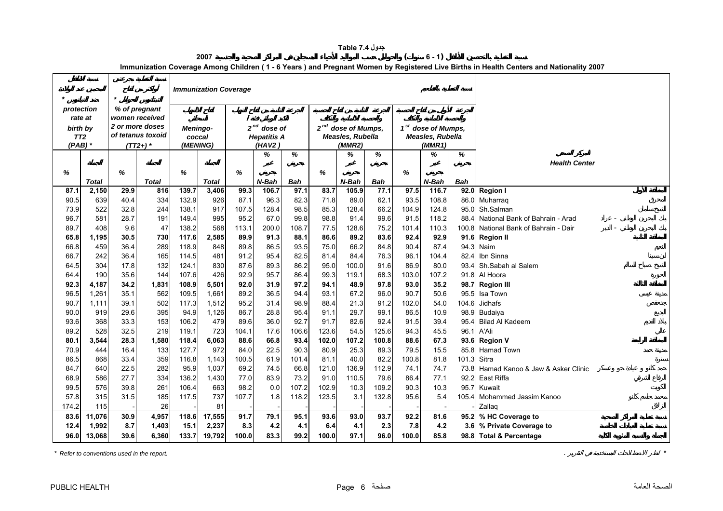|  | جدول Table 7.4 |
|--|----------------|
|--|----------------|

**<sup>2007</sup> ( <sup>6</sup> - 1)**

**Immunization Coverage Among Children ( 1 - 6 Years ) and Pregnant Women by Registered Live Births in Health Centers and Nationality 2007**

<span id="page-6-0"></span>

| $\star$ |                              | $\star$ |                                   |       | <b>Immunization Coverage</b> |       |                              |       |          |                                           |       |       |                                                           |                  |                                  |
|---------|------------------------------|---------|-----------------------------------|-------|------------------------------|-------|------------------------------|-------|----------|-------------------------------------------|-------|-------|-----------------------------------------------------------|------------------|----------------------------------|
|         | protection                   |         | % of pregnant                     |       |                              |       |                              |       |          |                                           |       |       |                                                           |                  |                                  |
|         | rate at                      |         | women received<br>2 or more doses |       |                              |       |                              |       |          |                                           |       |       |                                                           |                  |                                  |
|         | birth by                     |         | of tetanus toxoid                 |       | Meningo-                     |       | $2^{nd}$ dose of             |       | $2^{nd}$ | dose of Mumps.<br><b>Measles, Rubella</b> |       |       | 1 <sup>st</sup> dose of Mumps,<br><b>Measles, Rubella</b> |                  |                                  |
|         | TT <sub>2</sub><br>$(PAB)$ * |         | $(TT2+)$ *                        |       | coccal<br>(MENING)           |       | <b>Hepatitis A</b><br>(HAV2) |       |          | (MMR2)                                    |       |       | (MMR1)                                                    |                  |                                  |
|         |                              |         |                                   |       |                              |       | ℅                            | %     |          | %                                         | ℅     |       | %                                                         | %                |                                  |
|         |                              |         |                                   |       |                              |       |                              |       |          |                                           |       |       |                                                           |                  | <b>Health Center</b>             |
| %       |                              | %       |                                   | %     |                              | %     |                              |       | %        |                                           |       | ℅     |                                                           |                  |                                  |
|         | <b>Total</b>                 |         | <b>Total</b>                      |       | <b>Total</b>                 |       | N-Bah                        | Bah   |          | N-Bah                                     | Bah   |       | $N$ -Bah                                                  | <b>Bah</b>       |                                  |
| 87.1    | 2,150                        | 29.9    | 816                               | 139.7 | 3,406                        | 99.3  | 106.7                        | 97.1  | 83.7     | 105.9                                     | 77.1  | 97.5  | 116.7                                                     | 92.0             | <b>Region I</b>                  |
| 90.5    | 639                          | 40.4    | 334                               | 132.9 | 926                          | 87.1  | 96.3                         | 82.3  | 71.8     | 89.0                                      | 62.1  | 93.5  | 108.8                                                     | 86.0             | Muharrag                         |
| 73.9    | 522                          | 32.8    | 244                               | 138.1 | 917                          | 107.5 | 128.4                        | 98.5  | 85.3     | 128.4                                     | 66.2  | 104.9 | 124.8                                                     | 95.0             | Sh.Salman                        |
| 96.7    | 581                          | 28.7    | 191                               | 149.4 | 995                          | 95.2  | 67.0                         | 99.8  | 98.8     | 91.4                                      | 99.6  | 91.5  | 118.2                                                     | 88.4             | National Bank of Bahrain - Arad  |
| 89.7    | 408                          | 9.6     | 47                                | 138.2 | 568                          | 113.1 | 200.0                        | 108.7 | 77.5     | 128.6                                     | 75.2  | 101.4 | 110.3                                                     | 100.8            | National Bank of Bahrain - Dair  |
| 65.8    | 1,195                        | 30.5    | 730                               | 117.6 | 2,585                        | 89.9  | 91.3                         | 88.1  | 86.6     | 89.2                                      | 83.6  | 92.4  | 92.9                                                      | 91.6             | <b>Region II</b>                 |
| 66.8    | 459                          | 36.4    | 289                               | 118.9 | 848                          | 89.8  | 86.5                         | 93.5  | 75.0     | 66.2                                      | 84.8  | 90.4  | 87.4                                                      | 94.3             | Naim                             |
| 66.7    | 242                          | 36.4    | 165                               | 114.5 | 481                          | 91.2  | 95.4                         | 82.5  | 81.4     | 84.4                                      | 76.3  | 96.1  | 104.4                                                     | 82.4             | Ibn Sinna                        |
| 64.5    | 304                          | 17.8    | 132                               | 124.1 | 830                          | 87.6  | 89.3                         | 86.2  | 95.0     | 100.0                                     | 91.6  | 86.9  | 80.0                                                      | 93.4             | Sh.Sabah al Salem                |
| 64.4    | 190                          | 35.6    | 144                               | 107.6 | 426                          | 92.9  | 95.7                         | 86.4  | 99.3     | 119.1                                     | 68.3  | 103.0 | 107.2                                                     | 91.8             | Al Hoora                         |
| 92.3    | 4,187                        | 34.2    | 1,831                             | 108.9 | 5,501                        | 92.0  | 31.9                         | 97.2  | 94.1     | 48.9                                      | 97.8  | 93.0  | 35.2                                                      | 98.7             | <b>Region III</b>                |
| 96.5    | 1,261                        | 35.1    | 562                               | 109.5 | 1,661                        | 89.2  | 36.5                         | 94.4  | 93.1     | 67.2                                      | 96.0  | 90.7  | 50.6                                                      | 95.5             | Isa Town                         |
| 90.7    | 1.111                        | 39.1    | 502                               | 117.3 | 1,512                        | 95.2  | 31.4                         | 98.9  | 88.4     | 21.3                                      | 91.2  | 102.0 | 54.0                                                      | 104.6            | Jidhafs                          |
| 90.0    | 919                          | 29.6    | 395                               | 94.9  | 1,126                        | 86.7  | 28.8                         | 95.4  | 91.1     | 29.7                                      | 99.1  | 86.5  | 10.9                                                      | 98.9             | Budaiya                          |
| 93.6    | 368                          | 33.3    | 153                               | 106.2 | 479                          | 89.6  | 36.0                         | 92.7  | 91.7     | 82.6                                      | 92.4  | 91.5  | 39.4                                                      | 95.4             | <b>Bilad Al Kadeem</b>           |
| 89.2    | 528                          | 32.5    | 219                               | 119.1 | 723                          | 104.1 | 17.6                         | 106.6 | 123.6    | 54.5                                      | 125.6 | 94.3  | 45.5                                                      | 96.1             | A'Ali                            |
| 80.1    | 3,544                        | 28.3    | 1,580                             | 118.4 | 6,063                        | 88.6  | 66.8                         | 93.4  | 102.0    | 107.2                                     | 100.8 | 88.6  | 67.3                                                      | 93.6             | <b>Region V</b>                  |
| 70.9    | 444                          | 16.4    | 133                               | 127.7 | 972                          | 84.0  | 22.5                         | 90.3  | 80.9     | 25.3                                      | 89.3  | 79.5  | 15.5                                                      | 85.8             | Hamad Town                       |
| 86.5    | 868                          | 33.4    | 359                               | 116.8 | 1,143                        | 100.5 | 61.9                         | 101.4 | 81.1     | 40.0                                      | 82.2  | 100.8 | 81.8                                                      | 101.3            | Sitra                            |
| 84.7    | 640                          | 22.5    | 282                               | 95.9  | 1,037                        | 69.2  | 74.5                         | 66.8  | 121.0    | 136.9                                     | 112.9 | 74.1  | 74.7                                                      | 73.8             | Hamad Kanoo & Jaw & Asker Clinic |
| 68.9    | 586                          | 27.7    | 334                               | 136.2 | 1,430                        | 77.0  | 83.9                         | 73.2  | 91.0     | 110.5                                     | 79.6  | 86.4  | 77.1                                                      | 92.2             | East Riffa                       |
| 99.5    | 576                          | 39.8    | 261                               | 106.4 | 663                          | 98.2  | 0.0                          | 107.2 | 102.9    | 10.3                                      | 109.2 | 90.3  | 10.3                                                      | 95.7             | Kuwait                           |
| 57.8    | 315                          | 31.5    | 185                               | 117.5 | 737                          | 107.7 | 1.8                          | 118.2 | 123.5    | 3.1                                       | 132.8 | 95.6  | 5.4                                                       | 105.4            | Mohammed Jassim Kanoo            |
| 174.2   | 115                          |         | 26                                |       | 81                           |       |                              |       |          |                                           |       |       |                                                           |                  | Zallag                           |
| 83.6    | 11,076                       | 30.9    | 4,957                             | 118.6 | 17,555                       | 91.7  | 79.1                         | 95.1  | 93.6     | 93.0                                      | 93.7  | 92.2  | 81.6                                                      | 95.2             | % HC Coverage to                 |
| 12.4    | 1,992                        | 8.7     | 1,403                             | 15.1  | 2,237                        | 8.3   | 4.2                          | 4.1   | 6.4      | 4.1                                       | 2.3   | 7.8   | 4.2                                                       | 3.6 <sub>1</sub> | % Private Coverage to            |
| 96.0    | 13,068                       | 39.6    | 6,360                             | 133.7 | 19,792                       | 100.0 | 83.3                         | 99.2  | 100.0    | 97.1                                      | 96.0  | 100.0 | 85.8                                                      |                  | 98.8 Total & Percentage          |

*\* Refer to conventions used in the report.* . *\**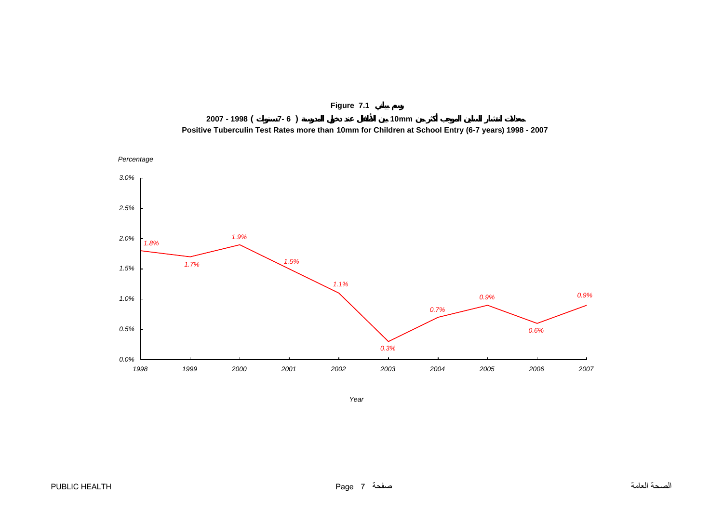<span id="page-7-0"></span>



*Year*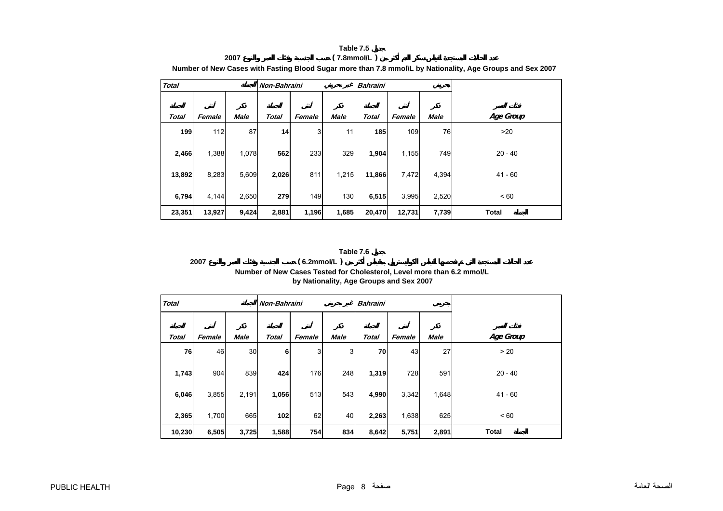#### **Table 7.5 2007 ( 7.8mmoI/L )**

<span id="page-8-0"></span>

| <b>Total</b> |        |             |              | Non-Bahraini |             | <b>Bahraini</b> |        |             |              |
|--------------|--------|-------------|--------------|--------------|-------------|-----------------|--------|-------------|--------------|
| <b>Total</b> | Female | <b>Male</b> | <b>Total</b> | Female       | <b>Male</b> | <b>Total</b>    | Female | <b>Male</b> | Age Group    |
| 199          | 112    | 87          | 14           | 3            | 11          | 185             | 109    | 76          | >20          |
| 2,466        | 1,388  | 1,078       | 562          | 233          | 329         | 1,904           | 1,155  | 749         | $20 - 40$    |
| 13,892       | 8,283  | 5,609       | 2,026        | 811          | 1,215       | 11,866          | 7,472  | 4,394       | $41 - 60$    |
| 6,794        | 4,144  | 2,650       | 279          | 149          | 130         | 6,515           | 3,995  | 2,520       | < 60         |
| 23,351       | 13,927 | 9,424       | 2,881        | 1,196        | 1,685       | 20,470          | 12,731 | 7,739       | <b>Total</b> |

**Number of New Cases with Fasting Blood Sugar more than 7.8 mmol\L by Nationality, Age Groups and Sex 2007**

#### **Table 7.6**

# **2007 ( 6.2mmoI/L ) Number of New Cases Tested for Cholesterol, Level more than 6.2 mmol/L by Nationality, Age Groups and Sex 2007**

| <b>Total</b> |        |             |              | Non-Bahraini |             | <b>Bahraini</b> |        |             |              |
|--------------|--------|-------------|--------------|--------------|-------------|-----------------|--------|-------------|--------------|
|              |        |             |              |              |             |                 |        |             |              |
| <b>Total</b> | Female | <b>Male</b> | <b>Total</b> | Female       | <b>Male</b> | <b>Total</b>    | Female | <b>Male</b> | Age Group    |
| 76           | 46     | 30          | 6            | 3            | 3           | 70              | 43     | 27          | > 20         |
| 1,743        | 904    | 839         | 424          | 176          | 248         | 1,319           | 728    | 591         | $20 - 40$    |
| 6,046        | 3,855  | 2,191       | 1,056        | 513          | 543         | 4,990           | 3,342  | 1,648       | $41 - 60$    |
| 2,365        | 1,700  | 665         | 102          | 62           | 40          | 2,263           | 1,638  | 625         | < 60         |
| 10,230       | 6,505  | 3,725       | 1,588        | 754          | 834         | 8,642           | 5,751  | 2,891       | <b>Total</b> |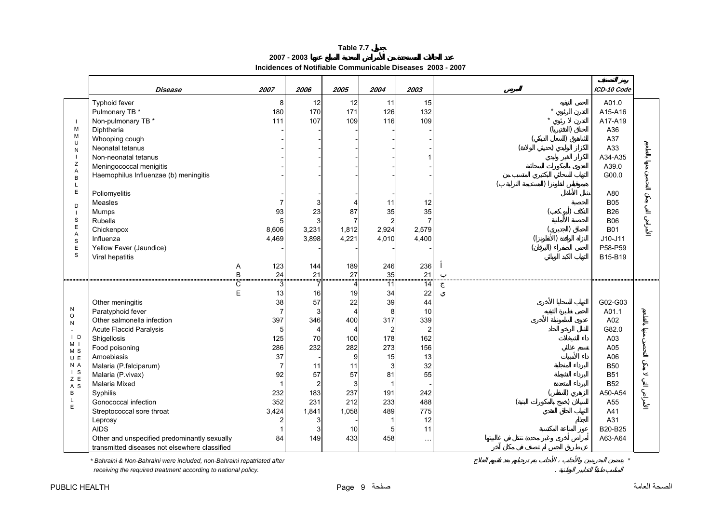**2007 - 2003**

# **Incidences of Notifiable Communicable Diseases 2003 - 2007**

<span id="page-9-0"></span>

|                                                     | Disease                                                                           | 2007                    | 2006             | 2005                      | 2004                       | 2003                  |           | ICD-10 Code                                   |
|-----------------------------------------------------|-----------------------------------------------------------------------------------|-------------------------|------------------|---------------------------|----------------------------|-----------------------|-----------|-----------------------------------------------|
| $\overline{\phantom{a}}$                            | Typhoid fever<br>Pulmonary TB *<br>Non-pulmonary TB *                             | 8<br>180<br>111         | 12<br>170<br>107 | 12<br>171<br>109          | 11<br>126<br>116           | 15<br>132<br>109      |           | A01.0<br>A15-A16<br>A17-A19                   |
| M<br>M<br>U<br>N<br>$\overline{\phantom{a}}$        | Diphtheria<br>Whooping cough<br>Neonatal tetanus<br>Non-neonatal tetanus          |                         |                  |                           |                            |                       |           | A36<br>A37<br>A33<br>A34-A35                  |
| Ζ<br>A<br>B<br>L<br>$\mathsf E$                     | Meningococcal menigitis<br>Haemophilus Influenzae (b) meningitis<br>Poliomyelitis |                         |                  |                           |                            |                       |           | A39.0<br>G00.0<br>A80                         |
| D<br>$\overline{\phantom{a}}$<br>S                  | Measles<br>Mumps<br>Rubella                                                       | 7<br>93<br>5            | 23               | 4<br>87<br>$\overline{7}$ | 11<br>35<br>$\overline{2}$ | 12<br>35              |           | <b>B05</b><br><b>B26</b><br><b>B06</b>        |
| $\mathsf E$<br>A<br>$\mathbb S$<br>$\mathsf E$<br>S | Chickenpox<br>Influenza<br>Yellow Fever (Jaundice)<br>Viral hepatitis             | 8,606<br>4,469          | 3,231<br>3,898   | 1,812<br>4,221            | 2,924<br>4,010             | 2,579<br>4,400        | $\lambda$ | <b>B01</b><br>$J10-J11$<br>P58-P59<br>B15-B19 |
|                                                     | Α<br>B                                                                            | 123<br>24               | 144<br>21        | 189<br>27                 | 246<br>35                  | 236<br>21             |           |                                               |
|                                                     | C<br>E                                                                            | 3<br>13                 | 7<br>16          | $\overline{4}$<br>19      | $\overline{11}$<br>34      | 14<br>22              |           |                                               |
| ${\sf N}$                                           | Other meningitis<br>Paratyphoid fever                                             | 38<br>$\overline{7}$    | 57<br>3          | 22<br>4                   | 39<br>8                    | 44<br>10              |           | G02-G03<br>A01.1                              |
| $\circ$<br>${\sf N}$                                | Other salmonella infection                                                        | 397                     | 346              | 400                       | 317                        | 339                   |           | A02                                           |
| $\blacksquare$<br>$\vert$ D                         | <b>Acute Flaccid Paralysis</b><br>Shigellosis                                     | 5<br>125                | 70               | 4<br>100                  | $\overline{c}$<br>178      | $\overline{2}$<br>162 |           | G82.0<br>A03                                  |
| M <sub>1</sub><br>M <sub>S</sub>                    | Food poisoning                                                                    | 286                     | 232              | 282                       | 273                        | 156                   |           | A05                                           |
| U E                                                 | Amoebiasis                                                                        | 37                      |                  | 9                         | 15                         | 13                    |           | A06                                           |
| N A<br>$\vert$ S                                    | Malaria (P.falciparum)<br>Malaria (P.vivax)                                       | $\overline{7}$<br>92    | 11<br>57         | 11<br>57                  | 3<br>81                    | 32<br>55              |           | <b>B50</b><br><b>B51</b>                      |
| Z E<br>A <sub>S</sub>                               | <b>Malaria Mixed</b>                                                              |                         |                  | 3                         | $\overline{1}$             |                       |           | <b>B52</b>                                    |
| B                                                   | Syphilis                                                                          | 232                     | 183              | 237                       | 191                        | 242                   |           | A50-A54                                       |
| L<br>$\mathsf E$                                    | Gonococcal infection                                                              | 352                     | 231              | 212                       | 233                        | 488                   |           | A55                                           |
|                                                     | Streptococcal sore throat<br>Leprosy                                              | 3,424<br>$\overline{2}$ | 1,841            | 1,058                     | 489<br>$\mathbf{1}$        | 775<br>12             |           | A41<br>A31                                    |
|                                                     | <b>AIDS</b>                                                                       |                         |                  | 10                        | 5                          | 11                    |           | B20-B25                                       |
|                                                     | Other and unspecified predominantly sexually                                      | 84                      | 149              | 433                       | 458                        | $\ddotsc$             |           | A63-A64                                       |
|                                                     | transmitted diseases not elsewhere classified                                     |                         |                  |                           |                            |                       |           |                                               |

*\* Bahraini & Non-Bahraini were included, non-Bahraini repatriated after \**

 *receiving the required treatment according to national policy.* .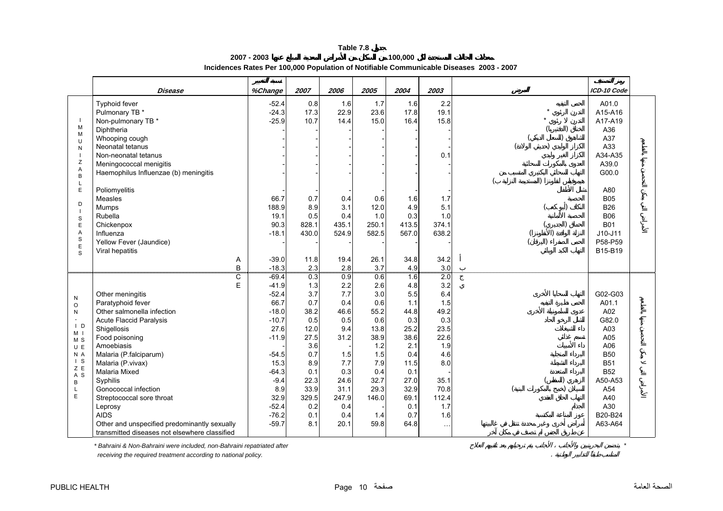**2007 - 2003 100,000 Incidences Rates Per 100,000 Population of Notifiable Communicable Diseases 2003 - 2007** 

<span id="page-10-0"></span>

|                                  | Disease                                       | %Change | 2007  | 2006  | 2005  | 2004  | 2003          | ICD-10 Code |
|----------------------------------|-----------------------------------------------|---------|-------|-------|-------|-------|---------------|-------------|
|                                  | Typhoid fever                                 | $-52.4$ | 0.8   | 1.6   | 1.7   | 1.6   | 2.2           | A01.0       |
|                                  | Pulmonary TB *                                | $-24.3$ | 17.3  | 22.9  | 23.6  | 17.8  | 19.1          | A15-A16     |
| $\mathbf{I}$                     | Non-pulmonary TB *                            | $-25.9$ | 10.7  | 14.4  | 15.0  | 16.4  | 15.8          | A17-A19     |
| M                                | Diphtheria                                    |         |       |       |       |       |               | A36         |
| M<br>$\mathbf{U}$                | Whooping cough                                |         |       |       |       |       |               | A37         |
| N                                | Neonatal tetanus                              |         |       |       |       |       |               | A33         |
| $\overline{\phantom{a}}$         | Non-neonatal tetanus                          |         |       |       |       |       | 0.1           | A34-A35     |
| $\mathsf Z$                      | Meningococcal menigitis                       |         |       |       |       |       |               | A39.0       |
| A<br>B                           | Haemophilus Influenzae (b) meningitis         |         |       |       |       |       |               | G00.0       |
| $\mathsf{L}$                     |                                               |         |       |       |       |       |               |             |
| E                                | Poliomyelitis                                 |         |       |       |       |       |               | A80         |
|                                  | Measles                                       | 66.7    | 0.7   | 0.4   | 0.6   | 1.6   | 1.7           | <b>B05</b>  |
| D<br>$\overline{\phantom{a}}$    | Mumps                                         | 188.9   | 8.9   | 3.1   | 12.0  | 4.9   | 5.1           | <b>B26</b>  |
| $\mathbf S$                      | Rubella                                       | 19.1    | 0.5   | 0.4   | 1.0   | 0.3   | 1.0           | <b>B06</b>  |
| $\mathsf E$                      | Chickenpox                                    | 90.3    | 828.1 | 435.1 | 250.1 | 413.5 | 374.1         | <b>B01</b>  |
| $\overline{A}$                   | Influenza                                     | $-18.1$ | 430.0 | 524.9 | 582.5 | 567.0 | 638.2         | $J10-J11$   |
| $\mathbf S$<br>$\mathsf E$       | Yellow Fever (Jaundice)                       |         |       |       |       |       |               | P58-P59     |
| S                                | Viral hepatitis                               |         |       |       |       |       |               | B15-B19     |
|                                  | Α                                             | $-39.0$ | 11.8  | 19.4  | 26.1  | 34.8  | 34.2          |             |
|                                  | B                                             | $-18.3$ | 2.3   | 2.8   | 3.7   | 4.9   | 3.0           |             |
|                                  | $\overline{\mathbf{C}}$                       | $-69.4$ | 0.3   | 0.9   | 0.6   | 16    | 2.0           |             |
|                                  | E                                             | $-41.9$ | 1.3   | 2.2   | 2.6   | 4.8   | 3.2           |             |
| N                                | Other meningitis                              | $-52.4$ | 3.7   | 7.7   | 3.0   | 5.5   | 6.4           | G02-G03     |
| $\circ$                          | Paratyphoid fever                             | 66.7    | 0.7   | 0.4   | 0.6   | 1.1   | 1.5           | A01.1       |
| N                                | Other salmonella infection                    | $-18.0$ | 38.2  | 46.6  | 55.2  | 44.8  | 49.2          | A02         |
| $\sim$                           | <b>Acute Flaccid Paralysis</b>                | $-10.7$ | 0.5   | 0.5   | 0.6   | 0.3   | 0.3           | G82.0       |
| $\mathsf{I}$ D<br>M <sub>1</sub> | Shigellosis                                   | 27.6    | 12.0  | 9.4   | 13.8  | 25.2  | 23.5          | A03         |
| M <sub>S</sub>                   | Food poisoning                                | $-11.9$ | 27.5  | 31.2  | 38.9  | 38.6  | 22.6          | A05         |
| UE                               | Amoebiasis                                    |         | 3.6   |       | 1.2   | 2.1   | 1.9           | A06         |
| N A                              | Malaria (P.falciparum)                        | $-54.5$ | 0.7   | 1.5   | 1.5   | 0.4   | 4.6           | <b>B50</b>  |
| $\vert$ S<br>Z E                 | Malaria (P.vivax)                             | 15.3    | 8.9   | 7.7   | 7.9   | 11.5  | 8.0           | <b>B51</b>  |
| A <sub>S</sub>                   | <b>Malaria Mixed</b>                          | $-64.3$ | 0.1   | 0.3   | 0.4   | 0.1   |               | <b>B52</b>  |
| B                                | Syphilis                                      | $-9.4$  | 22.3  | 24.6  | 32.7  | 27.0  | 35.1          | A50-A53     |
| $\mathsf{L}$                     | Gonococcal infection                          | 8.9     | 33.9  | 31.1  | 29.3  | 32.9  | 70.8          | A54         |
| E                                | Streptococcal sore throat                     | 32.9    | 329.5 | 247.9 | 146.0 | 69.1  | 112.4         | A40         |
|                                  | Leprosy                                       | $-52.4$ | 0.2   | 0.4   |       | 0.1   | 1.7           | A30         |
|                                  | <b>AIDS</b>                                   | $-76.2$ | 0.1   | 0.4   | 1.4   | 0.7   | 1.6           | B20-B24     |
|                                  | Other and unspecified predominantly sexually  | $-59.7$ | 8.1   | 20.1  | 59.8  | 64.8  | $\sim$ $\sim$ | A63-A64     |
|                                  | transmitted diseases not elsewhere classified |         |       |       |       |       |               |             |

*\* Bahraini & Non-Bahraini were included, non-Bahraini repatriated after \**

 *receiving the required treatment according to national policy.* .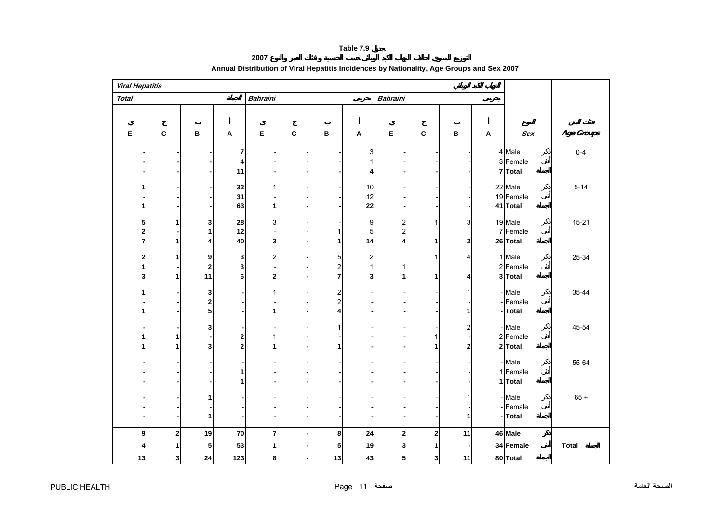**2007**

<span id="page-11-0"></span>

| <b>Viral Hepatitis</b>                |                |                               |                              |                               |             |                                                         |                                       |                                       |                         |                  |                           |                                  |              |
|---------------------------------------|----------------|-------------------------------|------------------------------|-------------------------------|-------------|---------------------------------------------------------|---------------------------------------|---------------------------------------|-------------------------|------------------|---------------------------|----------------------------------|--------------|
| <b>Total</b>                          |                |                               |                              | <b>Bahraini</b>               |             |                                                         |                                       | <b>Bahraini</b>                       |                         |                  |                           |                                  |              |
|                                       |                |                               |                              |                               |             |                                                         |                                       |                                       |                         |                  |                           |                                  |              |
| E                                     | $\mathbf c$    | $\, {\bf B}$                  | $\boldsymbol{\mathsf{A}}$    | E                             | $\mathbf c$ | В                                                       | $\blacktriangle$                      | E                                     | $\mathbf{C}$            | $\, {\bf B}$     | $\boldsymbol{\mathsf{A}}$ | Sex                              | Age Groups   |
|                                       |                |                               | 7<br>4<br>11                 |                               |             |                                                         | 3<br>1<br>4                           |                                       |                         |                  |                           | 4 Male<br>3 Female<br>7 Total    | $0 - 4$      |
| 1                                     |                |                               | 32<br>31<br>63               | 1                             |             |                                                         | 10<br>12<br>22                        |                                       |                         |                  |                           | 22 Male<br>19 Female<br>41 Total | $5 - 14$     |
| 5<br>$\overline{2}$<br>$\overline{7}$ |                | 3<br>$\mathbf{1}$<br>4        | 28<br>12<br>40               | 3<br>$\mathbf{3}$             |             | $\mathbf{1}$<br>1                                       | $\boldsymbol{9}$<br>$\mathbf 5$<br>14 | $\overline{2}$<br>$\overline{2}$<br>4 | 1<br>1                  | 3<br>3           |                           | 19 Male<br>7 Female<br>26 Total  | $15 - 21$    |
| $\overline{2}$<br>1<br>3              | 1              | 9<br>$\mathbf 2$<br>11        | 3<br>3<br>6                  | $\overline{2}$<br>$\mathbf 2$ |             | 5<br>$\overline{\mathbf{c}}$<br>7                       | $\boldsymbol{2}$<br>$\mathbf{1}$<br>3 | 1<br>1                                | 1<br>1                  | 4<br>4           |                           | 1 Male<br>2 Female<br>3 Total    | 25-34        |
| 1<br>1                                |                | 3<br>$\mathbf 2$<br>${\bf 5}$ |                              | 1                             |             | $\overline{\mathbf{c}}$<br>$\overline{\mathbf{c}}$<br>4 |                                       |                                       |                         | 1<br>1           |                           | - Male<br>- Female<br>-Total     | 35-44        |
|                                       |                | 3<br>3                        | 2<br>$\overline{\mathbf{c}}$ |                               |             | $\mathbf{1}$<br>1                                       |                                       |                                       | 1<br>1                  | 2<br>$\mathbf 2$ |                           | - Male<br>2 Female<br>2 Total    | 45-54        |
|                                       |                |                               | 1<br>1                       |                               |             |                                                         |                                       |                                       |                         |                  |                           | - Male<br>1 Female<br>1 Total    | 55-64        |
|                                       |                | 1<br>$\mathbf{1}$             |                              |                               |             |                                                         |                                       |                                       |                         | 1<br>1           |                           | - Male<br>- Female<br>- Total    | $65 +$       |
| 9                                     | $\overline{2}$ | 19                            | 70                           | $\overline{7}$                |             | 8                                                       | 24                                    | $\overline{2}$                        | $\overline{\mathbf{c}}$ | 11               |                           | 46 Male                          |              |
| 13                                    | 3              | 5<br>24                       | 53<br>123                    | 8                             |             | 5<br>13                                                 | 19<br>43                              | 3<br>5                                | 1<br>3                  | 11               |                           | 34 Female<br>80 Total            | <b>Total</b> |

# **Annual Distribution of Viral Hepatitis Incidences by Nationality, Age Groups and Sex 2007**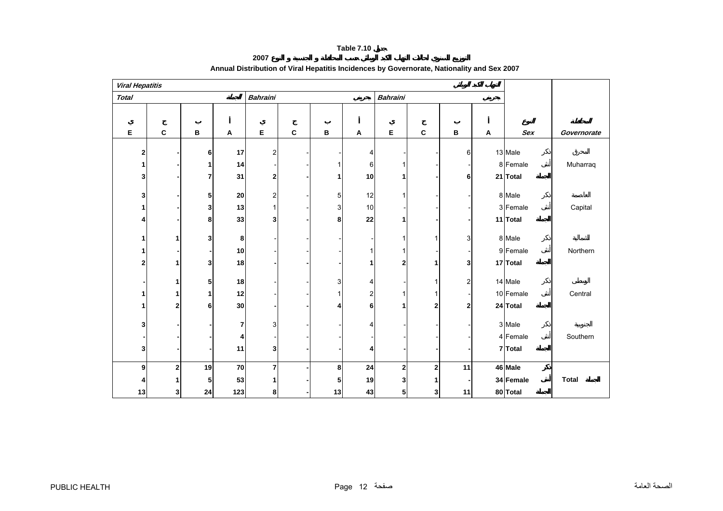**2007**

<span id="page-12-0"></span>

| <b>Viral Hepatitis</b> |                |    |                           |                 |             |              |    |                 |             |              |   |            |              |
|------------------------|----------------|----|---------------------------|-----------------|-------------|--------------|----|-----------------|-------------|--------------|---|------------|--------------|
| <b>Total</b>           |                |    |                           | <b>Bahraini</b> |             |              |    | <b>Bahraini</b> |             |              |   |            |              |
|                        |                |    |                           |                 |             |              |    |                 |             |              |   |            |              |
| Е                      | $\mathbf{C}$   | B  | $\boldsymbol{\mathsf{A}}$ | E               | $\mathbf c$ | В            | A  | Е               | C           | $\, {\bf B}$ | Α | <b>Sex</b> | Governorate  |
|                        |                |    |                           |                 |             |              |    |                 |             |              |   |            |              |
| $\mathbf{2}$           |                | 6  | 17                        | $\overline{2}$  |             |              | 4  |                 |             | 6            |   | 13 Male    |              |
| 1                      |                | 1  | 14                        |                 |             | $\mathbf{1}$ | 6  |                 |             |              |   | 8 Female   | Muharraq     |
| 3                      |                | 7  | 31                        | 2               |             | 1            | 10 |                 |             | 6            |   | 21 Total   |              |
| 3                      |                | 5  | ${\bf 20}$                | 2               |             | 5            | 12 |                 |             |              |   | 8 Male     |              |
|                        |                | 3  | 13                        |                 |             | 3            | 10 |                 |             |              |   | 3 Female   | Capital      |
| 4                      |                | 8  | 33                        | 3               |             | 8            | 22 |                 |             |              |   | 11 Total   |              |
|                        |                |    |                           |                 |             |              |    |                 |             |              |   |            |              |
| 1                      |                | 3  | 8                         |                 |             |              |    |                 | 1           | 3            |   | 8 Male     |              |
|                        |                |    | 10                        |                 |             |              |    |                 |             |              |   | 9 Female   | Northern     |
| $\mathbf{2}$           |                | 3  | 18                        |                 |             |              |    | $\overline{2}$  | 1           | 3            |   | 17 Total   |              |
|                        |                |    |                           |                 |             |              |    |                 |             |              |   |            |              |
|                        |                | 5  | 18                        |                 |             | 3            | 4  |                 | 1           | 2            |   | 14 Male    |              |
| 1                      |                | 1  | 12                        |                 |             | $\mathbf{1}$ | 2  |                 | 1           |              |   | 10 Female  | Central      |
| 1                      | $\overline{2}$ | 6  | 30                        |                 |             | 4            | 6  | 1               | $\mathbf 2$ | 2            |   | 24 Total   |              |
| 3                      |                |    | 7                         | 3               |             |              | 4  |                 |             |              |   | 3 Male     |              |
|                        |                |    | 4                         |                 |             |              |    |                 |             |              |   | 4 Female   | Southern     |
| 3                      |                |    | 11                        | 3               |             |              | 4  |                 |             |              |   | 7 Total    |              |
|                        |                |    |                           |                 |             |              |    |                 |             |              |   |            |              |
| 9                      | 2              | 19 | 70                        | 7               |             | 8            | 24 | 2               | 2           | 11           |   | 46 Male    |              |
| Δ                      |                | 5  | 53                        |                 |             | 5            | 19 |                 | 1           |              |   | 34 Female  | <b>Total</b> |
| 13                     | 3              | 24 | 123                       | 8               |             | 13           | 43 | 5               | 3           | 11           |   | 80 Total   |              |

# **Annual Distribution of Viral Hepatitis Incidences by Governorate, Nationality and Sex 2007**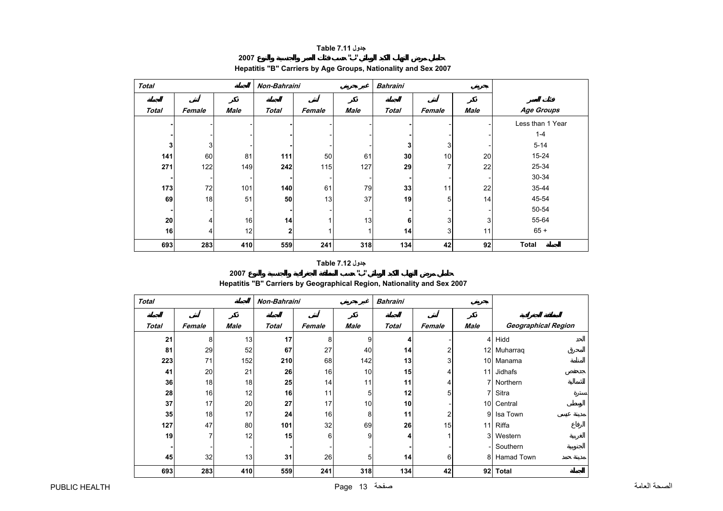### **جدول 7.11 Table**

# **2007 " "**

<span id="page-13-0"></span>

| <b>Total</b> |        |                 |              | Non-Bahraini |             | <b>Bahraini</b> |        |             |                  |
|--------------|--------|-----------------|--------------|--------------|-------------|-----------------|--------|-------------|------------------|
| <b>Total</b> | Female | <b>Male</b>     | <b>Total</b> | Female       | <b>Male</b> | <b>Total</b>    | Female | <b>Male</b> | Age Groups       |
|              |        |                 |              |              |             |                 |        |             | Less than 1 Year |
|              |        |                 |              |              |             |                 |        |             | $1 - 4$          |
| 3            | 3      |                 |              |              |             | 3               | 3      |             | $5 - 14$         |
| 141          | 60     | 81              | 111          | 50           | 61          | 30              | 10     | 20          | $15 - 24$        |
| 271          | 122    | 149             | 242          | 115          | 127         | 29              | 7      | 22          | 25-34            |
|              |        |                 |              |              |             |                 |        |             | 30-34            |
| 173          | 72     | 101             | 140          | 61           | 79          | 33              | 11     | 22          | 35-44            |
| 69           | 18     | 51              | 50           | 13           | 37          | 19              | 5      | 14          | 45-54            |
|              |        |                 |              |              |             |                 |        |             | 50-54            |
| 20           | 4      | 16              | 14           |              | 13          | 6               | 3      | 3           | 55-64            |
| 16           | 4      | 12 <sub>1</sub> | $\mathbf{2}$ |              | 1           | 14              | 3      | 11          | $65 +$           |
| 693          | 283    | 410             | 559          | 241          | 318         | 134             | 42     | 92          | <b>Total</b>     |

# **Hepatitis "B" Carriers by Age Groups, Nationality and Sex 2007**

# **جدول 7.12 Table**

**2007 "**

# **Hepatitis "B" Carriers by Geographical Region, Nationality and Sex 2007**

**"** 

| <b>Total</b> |        |      | Non-Bahraini |        |      | <b>Bahraini</b> |                |                          |                     |
|--------------|--------|------|--------------|--------|------|-----------------|----------------|--------------------------|---------------------|
| <b>Total</b> | Female | Male | <b>Total</b> | Female | Male | <b>Total</b>    | Female         | Male                     | Geographical Region |
| 21           | 8      | 13   | 17           | 8      | 9    | 4               |                |                          | 4 Hidd              |
| 81           | 29     | 52   | 67           | 27     | 40   | 14              | 2              |                          | 12 Muharraq         |
| 223          | 71     | 152  | 210          | 68     | 142  | 13              | 3 <sub>l</sub> |                          | 10 Manama           |
| 41           | 20     | 21   | 26           | 16     | 10   | 15              | 4              |                          | 11 Jidhafs          |
| 36           | 18     | 18   | 25           | 14     | 11   | 11              | 4              |                          | 7 Northern          |
| 28           | 16     | 12   | 16           | 11     | 5    | 12              | 5              | 7 <sup>1</sup>           | Sitra               |
| 37           | 17     | 20   | 27           | 17     | 10   | 10              |                |                          | 10 Central          |
| 35           | 18     | 17   | 24           | 16     | 8    | 11              | 2              | 9                        | Isa Town            |
| 127          | 47     | 80   | 101          | 32     | 69   | 26              | 15             |                          | 11 Riffa            |
| 19           | 7      | 12   | 15           | 6      | 9    | 4               |                | 3 <sup>1</sup>           | Western             |
|              |        |      |              |        |      |                 |                | $\overline{\phantom{a}}$ | Southern            |
| 45           | 32     | 13   | 31           | 26     | 5    | 14              | 6              |                          | 8 Hamad Town        |
| 693          | 283    | 410  | 559          | 241    | 318  | 134             | 42             | 92                       | <b>Total</b>        |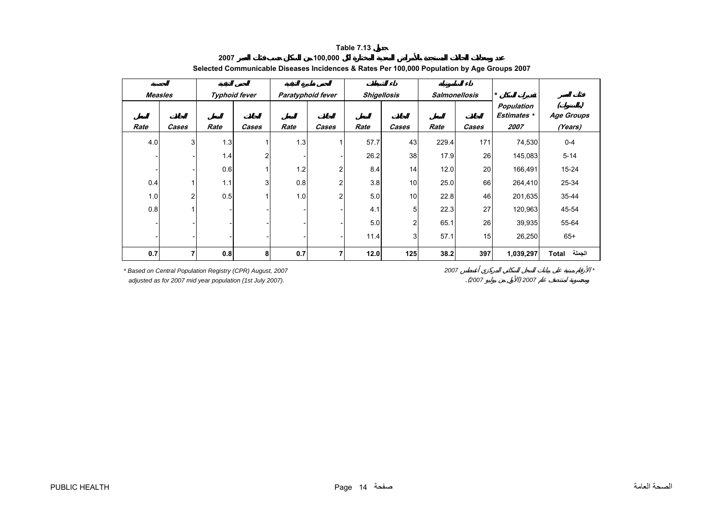<span id="page-14-0"></span>

| <b>Measles</b> |       |      | <b>Typhoid fever</b> |      | Paratyphoid fever | <b>Shigellosis</b> |                | <b>Salmonellosis</b> |       | $\star$                          |                   |
|----------------|-------|------|----------------------|------|-------------------|--------------------|----------------|----------------------|-------|----------------------------------|-------------------|
|                |       |      |                      |      |                   |                    |                |                      |       | Population<br><b>Estimates</b> * | <b>Age Groups</b> |
| Rate           | Cases | Rate | Cases                | Rate | Cases             | Rate               | Cases          | Rate                 | Cases | 2007                             | (Years)           |
| 4.0            | 3     | 1.3  | 1                    | 1.3  |                   | 57.7               | 43             | 229.4                | 171   | 74,530                           | $0 - 4$           |
|                |       | 1.4  | 2                    |      |                   | 26.2               | 38             | 17.9                 | 26    | 145,083                          | $5 - 14$          |
|                |       | 0.6  | 4                    | 1.2  | $\overline{2}$    | 8.4                | 14             | 12.0                 | 20    | 166,491                          | $15 - 24$         |
| 0.4            |       | 1.1  | 3                    | 0.8  | $\overline{2}$    | 3.8                | 10             | 25.0                 | 66    | 264,410                          | 25-34             |
| 1.0            | 2     | 0.5  | 4                    | 1.0  | $\overline{2}$    | 5.0                | 10             | 22.8                 | 46    | 201,635                          | 35-44             |
| 0.8            |       |      |                      |      |                   | 4.1                | 5              | 22.3                 | 27    | 120,963                          | 45-54             |
|                |       |      |                      |      |                   | 5.0                | $\mathfrak{p}$ | 65.1                 | 26    | 39,935                           | 55-64             |
|                |       |      |                      |      |                   | 11.4               | 3              | 57.1                 | 15    | 26,250                           | $65+$             |
| 0.7            | 7     | 0.8  | 8                    | 0.7  | 7                 | 12.0               | 125            | 38.2                 | 397   | 1,039,297                        | الجملة<br>Total   |

#### **2007 100,000 Selected Communicable Diseases Incidences & Rates Per 100,000 Population by Age Groups 2007**

**Table 7.13**

*\* Based on Central Population Registry (CPR) August, 2007 2007 \**

 *adjusted as for 2007 mid year population (1st July 2007).* .(*<sup>2007</sup>* ) *<sup>2007</sup>*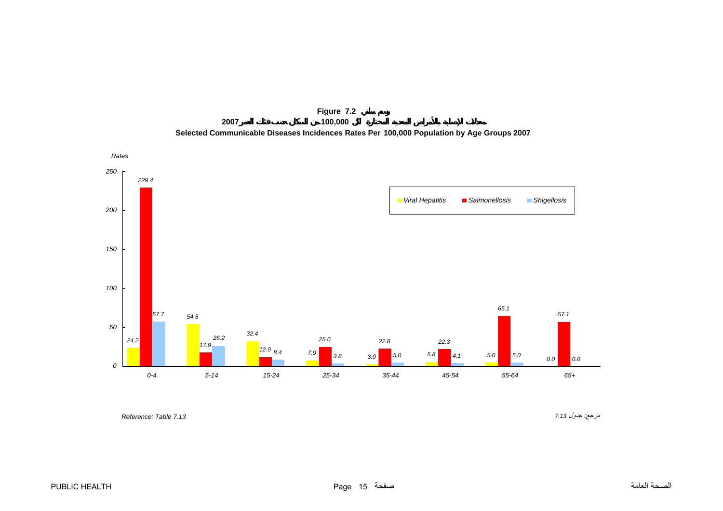<span id="page-15-0"></span>

**Figure 7.2 2007 100,000 Selected Communicable Diseases Incidences Rates Per 100,000 Population by Age Groups 2007**

مرجع: جدول *7.13 7.13 Table :Reference*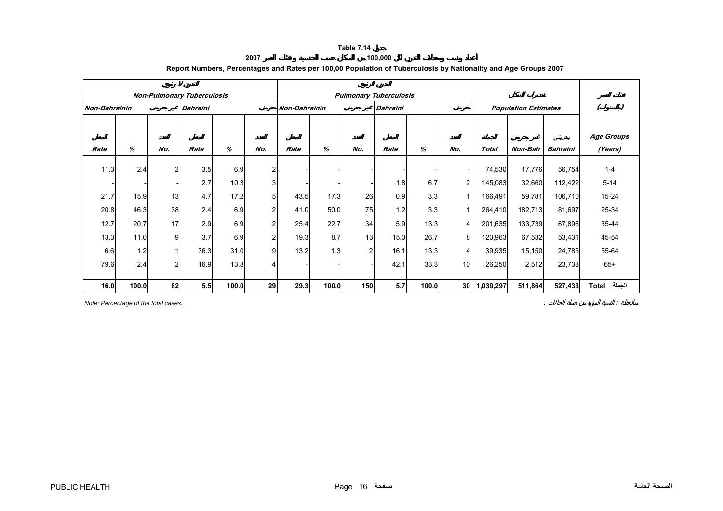#### **2007 100,000 Report Numbers, Percentages and Rates per 100,00 Population of Tuberculosis by Nationality and Age Groups 2007**

<span id="page-16-0"></span>

|                      |       |                | <b>Non-Pulmonary Tuberculosis</b> |       |                |                      |       |                | <b>Pulmonary Tuberculosis</b> |       |                 |              |                             |                 |                   |
|----------------------|-------|----------------|-----------------------------------|-------|----------------|----------------------|-------|----------------|-------------------------------|-------|-----------------|--------------|-----------------------------|-----------------|-------------------|
| <b>Non-Bahrainin</b> |       |                | <b>Bahraini</b>                   |       |                | <b>Non-Bahrainin</b> |       |                | <b>Bahraini</b>               |       |                 |              | <b>Population Estimates</b> |                 |                   |
|                      |       |                |                                   |       |                |                      |       |                |                               |       |                 |              |                             |                 |                   |
|                      |       |                |                                   |       |                |                      |       |                |                               |       |                 |              |                             | بعرينى          | <b>Age Groups</b> |
| Rate                 | %     | No.            | Rate                              | $\%$  | No.            | Rate                 | %     | No.            | Rate                          | $\%$  | No.             | <b>Total</b> | Non-Bah                     | <b>Bahraini</b> | (Years)           |
| 11.3                 | 2.4   | $\overline{2}$ | 3.5                               | 6.9   | 2              |                      |       |                |                               |       |                 | 74,530       | 17,776                      | 56,754          | $1 - 4$           |
|                      |       |                | 2.7                               | 10.3  | 3              |                      |       |                | 1.8                           | 6.7   | 2               | 145,083      | 32,660                      | 112,422         | $5 - 14$          |
| 21.7                 | 15.9  | 13             | 4.7                               | 17.2  | 5              | 43.5                 | 17.3  | 26             | 0.9                           | 3.3   |                 | 166,491      | 59,781                      | 106,710         | $15 - 24$         |
| 20.8                 | 46.3  | 38             | 2.4                               | 6.9   | 2              | 41.0                 | 50.0  | 75             | 1.2                           | 3.3   |                 | 264,410      | 182,713                     | 81,697          | 25-34             |
| 12.7                 | 20.7  | 17             | 2.9                               | 6.9   | 2              | 25.4                 | 22.7  | 34             | 5.9                           | 13.3  | 4               | 201,635      | 133,739                     | 67,896          | 35-44             |
| 13.3                 | 11.0  | 9              | 3.7                               | 6.9   | $\overline{2}$ | 19.3                 | 8.7   | 13             | 15.0                          | 26.7  | 8               | 120,963      | 67,532                      | 53,431          | 45-54             |
| 6.6                  | 1.2   | 1              | 36.3                              | 31.0  | 9              | 13.2                 | 1.3   | $\overline{2}$ | 16.1                          | 13.3  | 4               | 39,935       | 15,150                      | 24,785          | 55-64             |
| 79.6                 | 2.4   | $\overline{2}$ | 16.9                              | 13.8  | Δ              |                      |       |                | 42.1                          | 33.3  | 10 <sup>1</sup> | 26,250       | 2,512                       | 23,738          | $65+$             |
| 16.0                 | 100.0 | 82             | 5.5                               | 100.0 | 29             | 29.3                 | 100.0 | 150            | 5.7                           | 100.0 | 30              | 1,039,297    | 511,864                     | 527,433         | الجملة<br>Total   |

*Note: Percentage of the total cases.* . :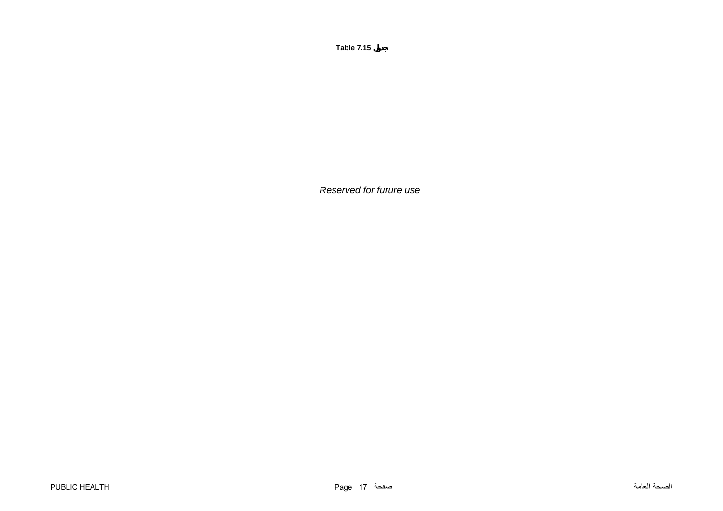*Reserved for furure use*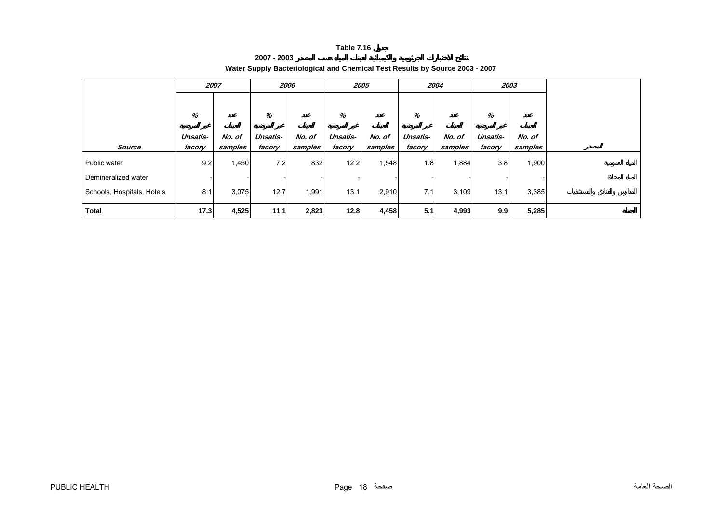| 2007 - 2003 |                                                                              |
|-------------|------------------------------------------------------------------------------|
|             | Water Supply Bacteriological and Chemical Test Results by Source 2003 - 2007 |

<span id="page-18-0"></span>

|                            | 2007          |         | 2006          |         | 2005          |         | 2004          |         | 2003          |         |  |
|----------------------------|---------------|---------|---------------|---------|---------------|---------|---------------|---------|---------------|---------|--|
|                            | %<br>Unsatis- | No. of  | %<br>Unsatis- | No. of  | %<br>Unsatis- | No. of  | %<br>Unsatis- | No. of  | %<br>Unsatis- | No. of  |  |
| Source                     | facory        | samples | facory        | samples | facory        | samples | facory        | samples | facory        | samples |  |
| Public water               | 9.2           | 1,450   | 7.2           | 832     | 12.2          | 1,548   | 1.8           | 1,884   | 3.8           | 1,900   |  |
| Demineralized water        |               |         |               |         |               |         |               |         |               |         |  |
| Schools, Hospitals, Hotels | 8.1           | 3,075   | 12.7          | 1,991   | 13.1          | 2,910   | 7.1           | 3,109   | 13.1          | 3,385   |  |
| Total                      | 17.3          | 4,525   | 11.1          | 2,823   | 12.8          | 4,458   | 5.1           | 4,993   | 9.9           | 5,285   |  |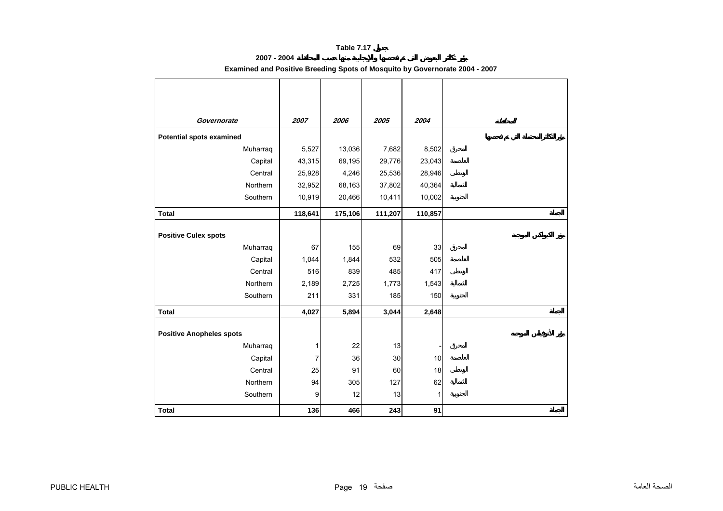# **2007 - 2004**

# **Examined and Positive Breeding Spots of Mosquito by Governorate 2004 - 2007**

<span id="page-19-0"></span>

| Governorate                     | 2007    | 2006    | 2005    | 2004    |  |
|---------------------------------|---------|---------|---------|---------|--|
| <b>Potential spots examined</b> |         |         |         |         |  |
| Muharraq                        | 5,527   | 13,036  | 7,682   | 8,502   |  |
| Capital                         | 43,315  | 69,195  | 29,776  | 23,043  |  |
| Central                         | 25,928  | 4,246   | 25,536  | 28,946  |  |
| Northern                        | 32,952  | 68,163  | 37,802  | 40,364  |  |
| Southern                        | 10,919  | 20,466  | 10,411  | 10,002  |  |
| <b>Total</b>                    | 118,641 | 175,106 | 111,207 | 110,857 |  |
|                                 |         |         |         |         |  |
| <b>Positive Culex spots</b>     |         |         |         |         |  |
| Muharraq                        | 67      | 155     | 69      | 33      |  |
| Capital                         | 1,044   | 1,844   | 532     | 505     |  |
| Central                         | 516     | 839     | 485     | 417     |  |
| Northern                        | 2,189   | 2,725   | 1,773   | 1,543   |  |
| Southern                        | 211     | 331     | 185     | 150     |  |
| <b>Total</b>                    | 4,027   | 5,894   | 3,044   | 2,648   |  |
| <b>Positive Anopheles spots</b> |         |         |         |         |  |
| Muharraq                        | 1       | 22      | 13      |         |  |
| Capital                         | 7       | 36      | $30\,$  | 10      |  |
| Central                         | 25      | 91      | 60      | 18      |  |
| Northern                        | 94      | 305     | 127     | 62      |  |
| Southern                        | 9       | 12      | 13      | 1       |  |
| <b>Total</b>                    | 136     | 466     | 243     | 91      |  |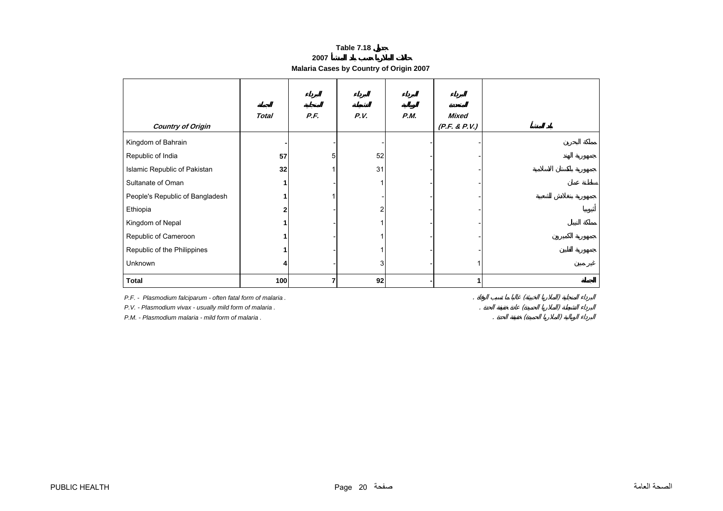**2007**

# **Malaria Cases by Country of Origin 2007**

<span id="page-20-0"></span>

| <b>Country of Origin</b>                                                                                                                                                    | <b>Total</b> | P.F. | P.V. | P.M. | <b>Mixed</b><br>(P.F. & P.V.) |
|-----------------------------------------------------------------------------------------------------------------------------------------------------------------------------|--------------|------|------|------|-------------------------------|
| Kingdom of Bahrain                                                                                                                                                          |              |      |      |      |                               |
| Republic of India                                                                                                                                                           | 57           | 5    | 52   |      |                               |
| Islamic Republic of Pakistan                                                                                                                                                | 32           |      | 31   |      |                               |
| Sultanate of Oman                                                                                                                                                           |              |      |      |      |                               |
| People's Republic of Bangladesh                                                                                                                                             |              |      |      |      |                               |
| Ethiopia                                                                                                                                                                    |              |      | 2    |      |                               |
| Kingdom of Nepal                                                                                                                                                            |              |      |      |      |                               |
| Republic of Cameroon                                                                                                                                                        |              |      |      |      |                               |
| Republic of the Philippines                                                                                                                                                 |              |      |      |      |                               |
| Unknown                                                                                                                                                                     |              |      | 3    |      |                               |
| <b>Total</b>                                                                                                                                                                | 100          | 7    | 92   |      | 1                             |
| P.F. - Plasmodium falciparum - often fatal form of malaria.<br>P.V. - Plasmodium vivax - usually mild form of malaria.<br>P.M. - Plasmodium malaria - mild form of malaria. |              |      |      |      |                               |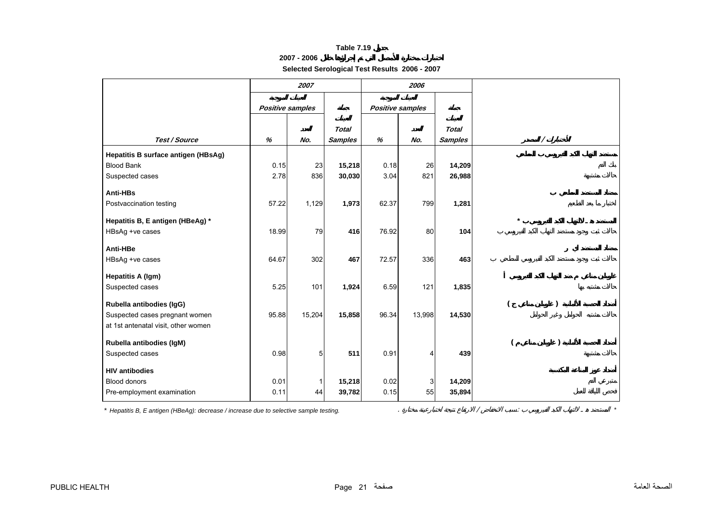# **2007 - 2006**

**Selected Serological Test Results 2006 - 2007**

<span id="page-21-0"></span>

|                                             | 2007                    |              |                |                         | 2006   |                |          |  |
|---------------------------------------------|-------------------------|--------------|----------------|-------------------------|--------|----------------|----------|--|
|                                             | <b>Positive samples</b> |              |                | <b>Positive samples</b> |        |                |          |  |
|                                             |                         |              | <b>Total</b>   |                         |        | <b>Total</b>   |          |  |
| Test / Source                               | %                       | No.          | <b>Samples</b> | %                       | No.    | <b>Samples</b> | $\prime$ |  |
| Hepatitis B surface antigen (HBsAg)         |                         |              |                |                         |        |                |          |  |
| <b>Blood Bank</b>                           | 0.15                    | 23           | 15,218         | 0.18                    | 26     | 14,209         |          |  |
| Suspected cases                             | 2.78                    | 836          | 30,030         | 3.04                    | 821    | 26,988         |          |  |
| Anti-HBs                                    |                         |              |                |                         |        |                |          |  |
| Postvaccination testing                     | 57.22                   | 1,129        | 1,973          | 62.37                   | 799    | 1,281          |          |  |
|                                             |                         |              |                |                         |        |                |          |  |
| Hepatitis B, E antigen (HBeAg) *            |                         |              |                |                         |        |                |          |  |
| HBsAg +ve cases                             | 18.99                   | 79           | 416            | 76.92                   | 80     | 104            |          |  |
| Anti-HBe                                    |                         |              |                |                         |        |                |          |  |
| HBsAg +ve cases                             | 64.67                   | 302          | 467            | 72.57                   | 336    | 463            |          |  |
|                                             |                         |              |                |                         |        |                |          |  |
| <b>Hepatitis A (Igm)</b><br>Suspected cases | 5.25                    | 101          | 1,924          | 6.59                    | 121    | 1,835          |          |  |
|                                             |                         |              |                |                         |        |                |          |  |
| Rubella antibodies (IgG)                    |                         |              |                |                         |        |                |          |  |
| Suspected cases pregnant women              | 95.88                   | 15,204       | 15,858         | 96.34                   | 13,998 | 14,530         |          |  |
| at 1st antenatal visit, other women         |                         |              |                |                         |        |                |          |  |
| Rubella antibodies (IgM)                    |                         |              |                |                         |        |                |          |  |
| Suspected cases                             | 0.98                    | 5            | 511            | 0.91                    | 4      | 439            |          |  |
|                                             |                         |              |                |                         |        |                |          |  |
| <b>HIV antibodies</b>                       |                         |              |                |                         |        |                |          |  |
| <b>Blood donors</b>                         | 0.01                    | $\mathbf{1}$ | 15,218         | 0.02                    | 3      | 14,209         |          |  |
| Pre-employment examination                  | 0.11                    | 44           | 39,782         | 0.15                    | 55     | 35,894         |          |  |

*\* Hepatitis B, E antigen (HBeAg): decrease / increase due to selective sample testing.* . / : *\**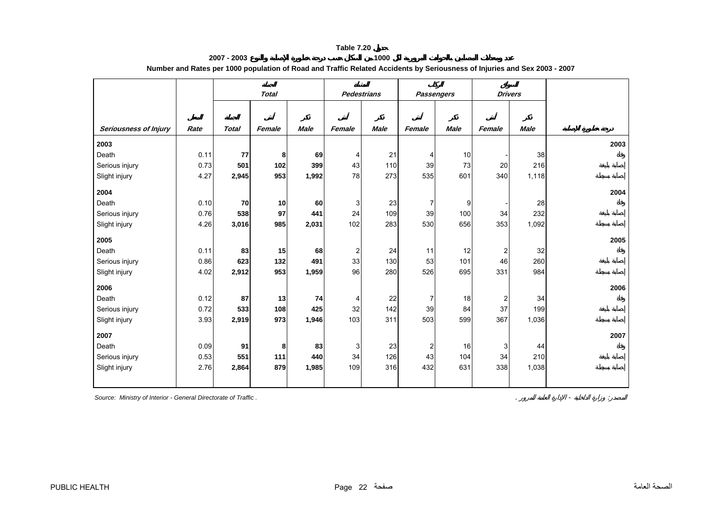#### **2007 - 2003 1000 Number and Rates per 1000 population of Road and Traffic Related Accidents by Seriousness of Injuries and Sex 2003 - 2007**

<span id="page-22-0"></span>

|                              |      | <b>Total</b> |        | <b>Pedestrians</b> |        | <b>Passengers</b> |                | <b>Drivers</b> |                         |             |      |
|------------------------------|------|--------------|--------|--------------------|--------|-------------------|----------------|----------------|-------------------------|-------------|------|
|                              |      |              |        |                    |        |                   |                |                |                         |             |      |
|                              |      |              |        |                    |        |                   |                |                |                         |             |      |
| <b>Seriousness of Injury</b> | Rate | <b>Total</b> | Female | <b>Male</b>        | Female | <b>Male</b>       | Female         | <b>Male</b>    | Female                  | <b>Male</b> |      |
| 2003                         |      |              |        |                    |        |                   |                |                |                         |             | 2003 |
| Death                        | 0.11 | 77           | 8      | 69                 | 4      | 21                | 4              | 10             |                         | 38          |      |
| Serious injury               | 0.73 | 501          | 102    | 399                | 43     | 110               | 39             | 73             | 20                      | 216         |      |
| Slight injury                | 4.27 | 2,945        | 953    | 1,992              | 78     | 273               | 535            | 601            | 340                     | 1,118       |      |
| 2004                         |      |              |        |                    |        |                   |                |                |                         |             | 2004 |
| Death                        | 0.10 | 70           | 10     | 60                 | 3      | 23                | $\overline{7}$ | 9              |                         | 28          |      |
| Serious injury               | 0.76 | 538          | 97     | 441                | 24     | 109               | 39             | 100            | 34                      | 232         |      |
| Slight injury                | 4.26 | 3,016        | 985    | 2,031              | 102    | 283               | 530            | 656            | 353                     | 1,092       |      |
| 2005                         |      |              |        |                    |        |                   |                |                |                         |             | 2005 |
| Death                        | 0.11 | 83           | 15     | 68                 | 2      | 24                | 11             | 12             | $\overline{\mathbf{c}}$ | 32          |      |
| Serious injury               | 0.86 | 623          | 132    | 491                | 33     | 130               | 53             | 101            | 46                      | 260         |      |
| Slight injury                | 4.02 | 2,912        | 953    | 1,959              | 96     | 280               | 526            | 695            | 331                     | 984         |      |
| 2006                         |      |              |        |                    |        |                   |                |                |                         |             | 2006 |
| Death                        | 0.12 | 87           | 13     | 74                 | 4      | 22                | $\overline{7}$ | 18             | 2                       | 34          |      |
| Serious injury               | 0.72 | 533          | 108    | 425                | 32     | 142               | 39             | 84             | 37                      | 199         |      |
| Slight injury                | 3.93 | 2,919        | 973    | 1,946              | 103    | 311               | 503            | 599            | 367                     | 1,036       |      |
| 2007                         |      |              |        |                    |        |                   |                |                |                         |             | 2007 |
| Death                        | 0.09 | 91           | 8      | 83                 | 3      | 23                | $\overline{c}$ | 16             | 3                       | 44          |      |
| Serious injury               | 0.53 | 551          | 111    | 440                | 34     | 126               | 43             | 104            | 34                      | 210         |      |
| Slight injury                | 2.76 | 2,864        | 879    | 1,985              | 109    | 316               | 432            | 631            | 338                     | 1,038       |      |
|                              |      |              |        |                    |        |                   |                |                |                         |             |      |

**Source: Ministry of Interior - General Directorate of Traffic .**  $\blacksquare$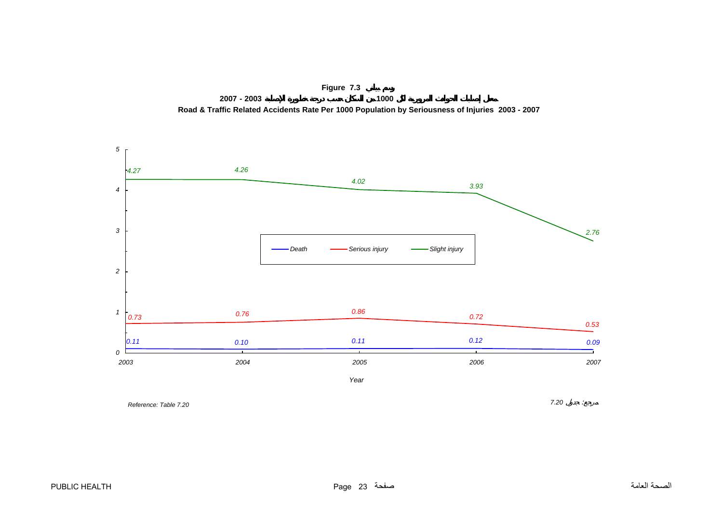

<span id="page-23-0"></span>

*Reference: Table 7.20*

*7.20* :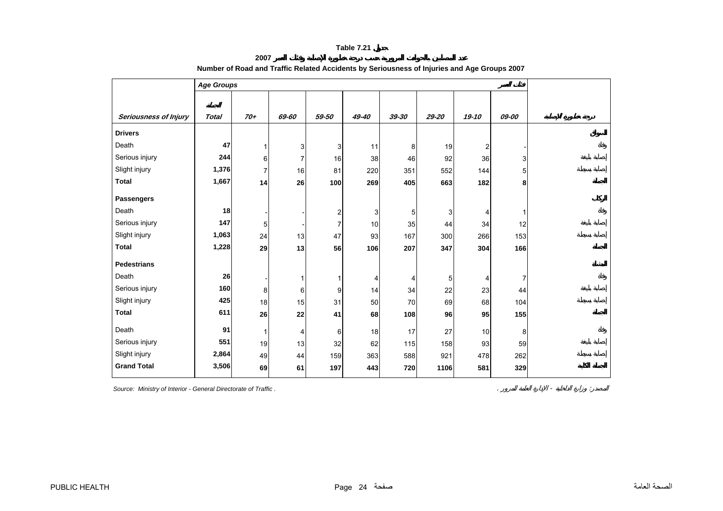**2007** 

<span id="page-24-0"></span>

|                       | <b>Age Groups</b> |                |                |       |       |                |       |                  |                |
|-----------------------|-------------------|----------------|----------------|-------|-------|----------------|-------|------------------|----------------|
|                       |                   |                |                |       |       |                |       |                  |                |
| Seriousness of Injury | <b>Total</b>      | 70+            | 69-60          | 59-50 | 49-40 | 39-30          | 29-20 | 19-10            | 09-00          |
| <b>Drivers</b>        |                   |                |                |       |       |                |       |                  |                |
| Death                 | 47                | 1              | 3              | 3     | 11    | 8              | 19    | $\boldsymbol{2}$ |                |
| Serious injury        | 244               | 6              | $\overline{7}$ | 16    | 38    | 46             | 92    | 36               | 3              |
| Slight injury         | 1,376             | $\overline{7}$ | 16             | 81    | 220   | 351            | 552   | 144              | 5              |
| <b>Total</b>          | 1,667             | 14             | 26             | 100   | 269   | 405            | 663   | 182              | 8              |
| <b>Passengers</b>     |                   |                |                |       |       |                |       |                  |                |
| Death                 | 18                |                |                | 2     | 3     | $\overline{5}$ | 3     | 4                | 1              |
| Serious injury        | 147               | 5              |                | 7     | 10    | 35             | 44    | 34               | 12             |
| Slight injury         | 1,063             | 24             | 13             | 47    | 93    | 167            | 300   | 266              | 153            |
| <b>Total</b>          | 1,228             | 29             | 13             | 56    | 106   | 207            | 347   | 304              | 166            |
| <b>Pedestrians</b>    |                   |                |                |       |       |                |       |                  |                |
| Death                 | 26                |                | 1              | 1     | 4     | 4              | 5     | 4                | $\overline{7}$ |
| Serious injury        | 160               | 8              | 6              | 9     | 14    | 34             | 22    | 23               | 44             |
| Slight injury         | 425               | 18             | 15             | 31    | 50    | 70             | 69    | 68               | 104            |
| <b>Total</b>          | 611               | 26             | 22             | 41    | 68    | 108            | 96    | 95               | 155            |
| Death                 | 91                | 1              | 4              | 6     | 18    | 17             | 27    | 10               | 8              |
| Serious injury        | 551               | 19             | 13             | 32    | 62    | 115            | 158   | 93               | 59             |
| Slight injury         | 2,864             | 49             | 44             | 159   | 363   | 588            | 921   | 478              | 262            |
| <b>Grand Total</b>    | 3,506             | 69             | 61             | 197   | 443   | 720            | 1106  | 581              | 329            |

# **Number of Road and Traffic Related Accidents by Seriousness of Injuries and Age Groups 2007**

**Source: Ministry of Interior - General Directorate of Traffic .**  $\blacksquare$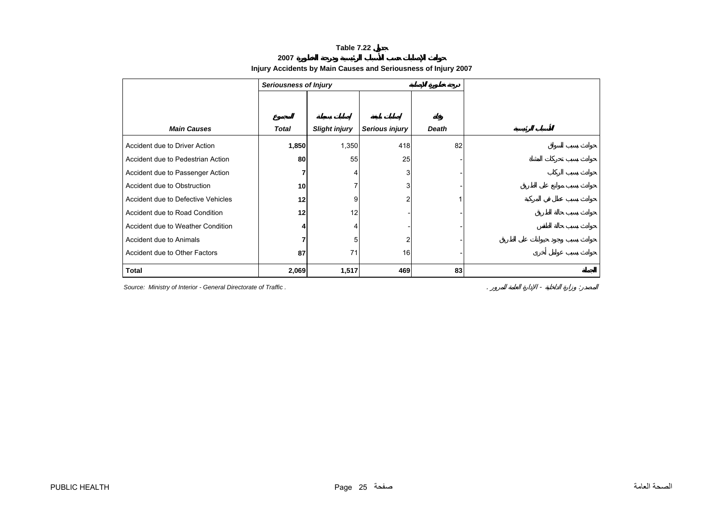#### **2007**

# **Injury Accidents by Main Causes and Seriousness of Injury 2007**

<span id="page-25-0"></span>

|                                    | <b>Seriousness of Injury</b> |                      |                |       |  |  |  |
|------------------------------------|------------------------------|----------------------|----------------|-------|--|--|--|
|                                    |                              |                      |                |       |  |  |  |
|                                    |                              |                      |                |       |  |  |  |
| <b>Main Causes</b>                 | Total                        | <b>Slight injury</b> | Serious injury | Death |  |  |  |
| Accident due to Driver Action      | 1,850                        | 1,350                | 418            | 82    |  |  |  |
| Accident due to Pedestrian Action  | 80                           | 55                   | 25             |       |  |  |  |
| Accident due to Passenger Action   | 7                            | 4                    | 3              |       |  |  |  |
| Accident due to Obstruction        | 10                           | 7                    | 3              |       |  |  |  |
| Accident due to Defective Vehicles | 12                           | 9                    | 2              |       |  |  |  |
| Accident due to Road Condition     | 12                           | 12                   |                |       |  |  |  |
| Accident due to Weather Condition  | 4                            | 4                    |                |       |  |  |  |
| Accident due to Animals            |                              | 5                    | $\overline{2}$ |       |  |  |  |
| Accident due to Other Factors      | 87                           | 71                   | 16             |       |  |  |  |
| <b>Total</b>                       | 2,069                        | 1,517                | 469            | 83    |  |  |  |

**Source: Ministry of Interior - General Directorate of Traffic .**  $\blacksquare$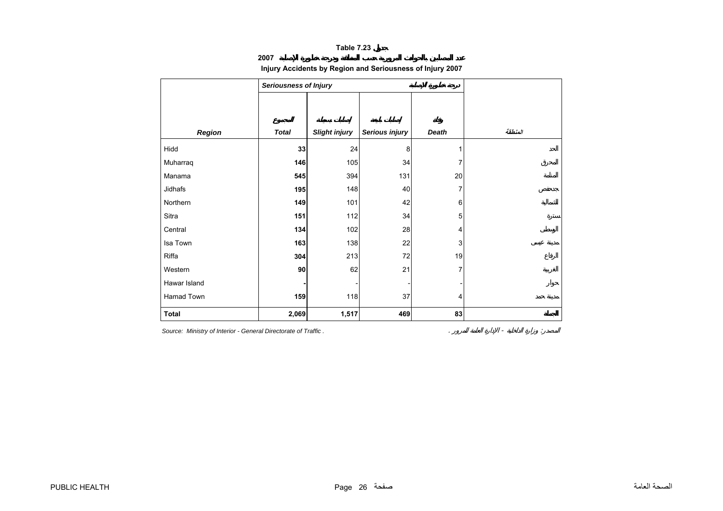**2007**

# **Injury Accidents by Region and Seriousness of Injury 2007**

<span id="page-26-0"></span>

|              | <b>Seriousness of Injury</b> |                      |                |              |         |
|--------------|------------------------------|----------------------|----------------|--------------|---------|
|              |                              |                      |                |              |         |
|              |                              |                      |                |              |         |
| Region       | <b>Total</b>                 | <b>Slight injury</b> | Serious injury | <b>Death</b> | المنطقة |
| Hidd         | 33                           | 24                   | 8              | 1            |         |
| Muharraq     | 146                          | 105                  | 34             | 7            |         |
| Manama       | 545                          | 394                  | 131            | 20           |         |
| Jidhafs      | 195                          | 148                  | 40             | 7            |         |
| Northern     | 149                          | 101                  | 42             | 6            |         |
| Sitra        | 151                          | 112                  | 34             | 5            |         |
| Central      | 134                          | 102                  | 28             | 4            |         |
| Isa Town     | 163                          | 138                  | 22             | 3            |         |
| Riffa        | 304                          | 213                  | 72             | 19           |         |
| Western      | $90\,$                       | 62                   | 21             | 7            |         |
| Hawar Island |                              |                      |                |              |         |
| Hamad Town   | 159                          | 118                  | 37             | 4            |         |
| <b>Total</b> | 2,069                        | 1,517                | 469            | 83           |         |

*Source: Ministry of Interior - General Directorate of Traffic .* . - :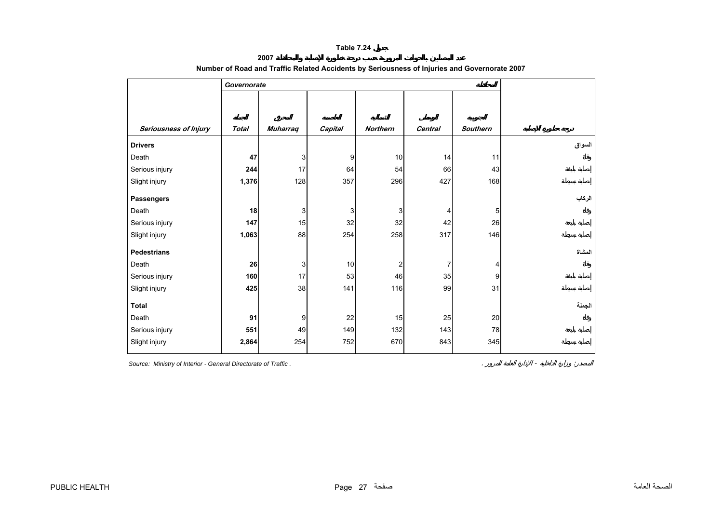**2007** 

<span id="page-27-0"></span>

|                       | Governorate  |                 |         |                 |         |                 |        |
|-----------------------|--------------|-----------------|---------|-----------------|---------|-----------------|--------|
|                       |              |                 |         |                 |         |                 |        |
|                       |              |                 |         |                 |         |                 |        |
| Seriousness of Injury | <b>Total</b> | <b>Muharraq</b> | Capital | <b>Northern</b> | Central | <b>Southern</b> |        |
| <b>Drivers</b>        |              |                 |         |                 |         |                 | السواق |
| Death                 | 47           | 3               | 9       | 10              | 14      | 11              |        |
| Serious injury        | 244          | 17              | 64      | 54              | 66      | 43              |        |
| Slight injury         | 1,376        | 128             | 357     | 296             | 427     | 168             |        |
| <b>Passengers</b>     |              |                 |         |                 |         |                 | الركاب |
| Death                 | 18           | 3               | 3       | 3               | 4       | 5               |        |
| Serious injury        | 147          | 15              | 32      | 32              | 42      | 26              |        |
| Slight injury         | 1,063        | 88              | 254     | 258             | 317     | 146             |        |
| <b>Pedestrians</b>    |              |                 |         |                 |         |                 | المشاة |
| Death                 | 26           | 3               | 10      | 2               | 7       | 4               |        |
| Serious injury        | 160          | 17              | 53      | 46              | 35      | 9               |        |
| Slight injury         | 425          | 38              | 141     | 116             | 99      | 31              |        |
| <b>Total</b>          |              |                 |         |                 |         |                 | الجملة |
| Death                 | 91           | 9               | 22      | 15              | 25      | 20              |        |
| Serious injury        | 551          | 49              | 149     | 132             | 143     | 78              |        |
| Slight injury         | 2,864        | 254             | 752     | 670             | 843     | 345             |        |

# **Number of Road and Traffic Related Accidents by Seriousness of Injuries and Governorate 2007**

**Source: Ministry of Interior - General Directorate of Traffic .**  $\blacksquare$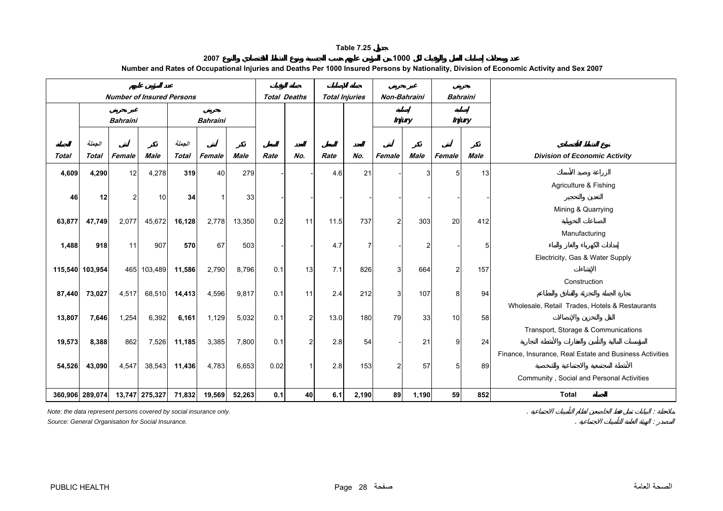**2007 1000 Number and Rates of Occupational Injuries and Deaths Per 1000 Insured Persons by Nationality, Division of Economic Activity and Sex 2007**

<span id="page-28-0"></span>

|              |                 | <b>Number of Insured Persons</b> |                |              |                 |        | <b>Total Deaths</b> |                | <b>Total Injuries</b> |                | Non-Bahraini   |               | <b>Bahraini</b> |             |                                                         |
|--------------|-----------------|----------------------------------|----------------|--------------|-----------------|--------|---------------------|----------------|-----------------------|----------------|----------------|---------------|-----------------|-------------|---------------------------------------------------------|
|              |                 | <b>Bahraini</b>                  |                |              | <b>Bahraini</b> |        |                     |                |                       |                |                | <b>Injury</b> | <b>Injury</b>   |             |                                                         |
|              | الجملة          |                                  |                | الجملة       |                 |        |                     |                |                       |                |                |               |                 |             |                                                         |
| <b>Total</b> | <b>Total</b>    | Female                           | Male           | <b>Total</b> | Female          | Male   | Rate                | No.            | Rate                  | No.            | Female         | <b>Male</b>   | Female          | <b>Male</b> | <b>Division of Economic Activity</b>                    |
| 4,609        | 4,290           | 12                               | 4,278          | 319          | 40 <sup>1</sup> | 279    |                     |                | 4.6                   | 21             |                | 3             | 5 <sub>5</sub>  | 13          |                                                         |
|              |                 |                                  |                |              |                 |        |                     |                |                       |                |                |               |                 |             | Agriculture & Fishing                                   |
| 46           | 12              | 2                                | 10             | 34           | 1               | 33     |                     |                |                       |                |                |               |                 |             | Mining & Quarrying                                      |
| 63,877       | 47,749          | 2,077                            | 45,672         | 16,128       | 2,778           | 13,350 | 0.2                 | 11             | 11.5                  | 737            | $\overline{2}$ | 303           | 20              | 412         |                                                         |
|              |                 |                                  |                |              |                 |        |                     |                |                       |                |                |               |                 |             | Manufacturing                                           |
| 1,488        | 918             | 11                               | 907            | 570          | 67              | 503    |                     |                | 4.7                   | $\overline{7}$ |                | 2             |                 | 5           |                                                         |
|              | 115,540 103,954 |                                  | 465 103,489    | 11,586       | 2,790           | 8,796  | 0.1                 | 13             | 7.1                   | 826            | 3              | 664           | 2 <sub>l</sub>  | 157         | Electricity, Gas & Water Supply                         |
|              |                 |                                  |                |              |                 |        |                     |                |                       |                |                |               |                 |             | Construction                                            |
| 87,440       | 73,027          | 4,517                            | 68,510         | 14,413       | 4,596           | 9,817  | 0.1                 | 11             | 2.4                   | 212            | 3              | 107           | 8               | 94          |                                                         |
|              |                 |                                  |                |              |                 |        |                     |                |                       |                |                |               |                 |             | Wholesale, Retail Trades, Hotels & Restaurants          |
| 13,807       | 7,646           | 1,254                            | 6,392          | 6,161        | 1,129           | 5,032  | 0.1                 | $\overline{c}$ | 13.0                  | 180            | 79             | 33            | 10              | 58          | Transport, Storage & Communications                     |
| 19,573       | 8,388           | 862                              | 7,526          | 11,185       | 3,385           | 7,800  | 0.1                 | $\overline{c}$ | 2.8                   | 54             |                | 21            | 9               | 24          |                                                         |
|              |                 |                                  |                |              |                 |        |                     |                |                       |                |                |               |                 |             | Finance, Insurance, Real Estate and Business Activities |
| 54,526       | 43,090          | 4,547                            | 38,543         | 11,436       | 4,783           | 6,653  | 0.02                | 1              | 2.8                   | 153            | $\overline{2}$ | 57            | 5 <sub>5</sub>  | 89          |                                                         |
|              |                 |                                  |                |              |                 |        |                     |                |                       |                |                |               |                 |             | Community, Social and Personal Activities               |
|              | 360,906 289,074 |                                  | 13,747 275,327 | 71,832       | 19,569          | 52,263 | 0.1                 | 40             | 6.1                   | 2,190          | 89             | 1,190         | 59              | 852         | <b>Total</b>                                            |

*Note: the data represent persons covered by social insurance only.* . :

*Source: General Organisation for Social Insurance.* . :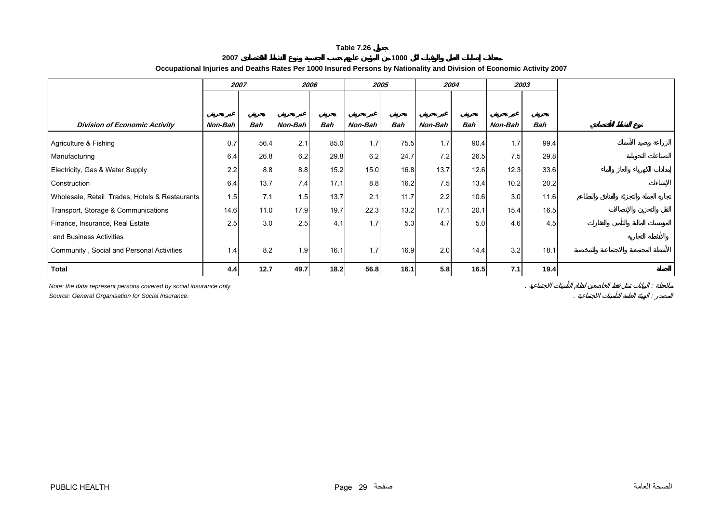**2007 1000 Occupational Injuries and Deaths Rates Per 1000 Insured Persons by Nationality and Division of Economic Activity 2007** 

<span id="page-29-0"></span>

|                                                | 2007    |            | 2006    |      |         | 2005       |         | 2004       | 2003    |            |
|------------------------------------------------|---------|------------|---------|------|---------|------------|---------|------------|---------|------------|
|                                                |         |            |         |      |         |            |         |            |         |            |
| <b>Division of Economic Activity</b>           | Non-Bah | <b>Bah</b> | Non-Bah | Bah  | Non-Bah | <b>Bah</b> | Non-Bah | <b>Bah</b> | Non-Bah | <b>Bah</b> |
| Agriculture & Fishing                          | 0.7     | 56.4       | 2.1     | 85.0 | 1.7     | 75.5       | 1.7     | 90.4       | 1.7     | 99.4       |
| Manufacturing                                  | 6.4     | 26.8       | 6.2     | 29.8 | 6.2     | 24.7       | 7.2     | 26.5       | 7.5     | 29.8       |
| Electricity, Gas & Water Supply                | 2.2     | 8.8        | 8.8     | 15.2 | 15.0    | 16.8       | 13.7    | 12.6       | 12.3    | 33.6       |
| Construction                                   | 6.4     | 13.7       | 7.4     | 17.1 | 8.8     | 16.2       | 7.5     | 13.4       | 10.2    | 20.2       |
| Wholesale, Retail Trades, Hotels & Restaurants | 1.5     | 7.1        | 1.5     | 13.7 | 2.1     | 11.7       | 2.2     | 10.6       | 3.0     | 11.6       |
| Transport, Storage & Communications            | 14.6    | 11.0       | 17.9    | 19.7 | 22.3    | 13.2       | 17.1    | 20.1       | 15.4    | 16.5       |
| Finance, Insurance, Real Estate                | 2.5     | 3.0        | 2.5     | 4.1  | 1.7     | 5.3        | 4.7     | 5.0        | 4.6     | 4.5        |
| and Business Activities                        |         |            |         |      |         |            |         |            |         |            |
| Community, Social and Personal Activities      | 1.4     | 8.2        | 1.9     | 16.1 | 1.7     | 16.9       | 2.0     | 14.4       | 3.2     | 18.1       |
| Total                                          | 4.4     | 12.7       | 49.7    | 18.2 | 56.8    | 16.1       | 5.8     | 16.5       | 7.1     | 19.4       |

*Note: the data represent persons covered by social insurance only.* . : *Source: General Organisation for Social Insurance.* . :